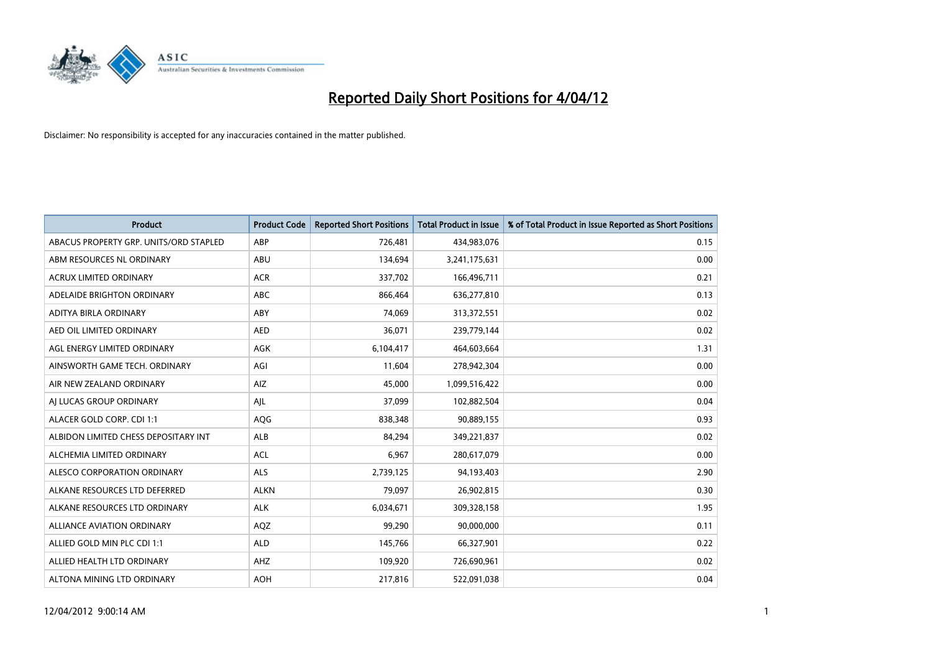

| <b>Product</b>                         | <b>Product Code</b> | <b>Reported Short Positions</b> | <b>Total Product in Issue</b> | % of Total Product in Issue Reported as Short Positions |
|----------------------------------------|---------------------|---------------------------------|-------------------------------|---------------------------------------------------------|
| ABACUS PROPERTY GRP. UNITS/ORD STAPLED | ABP                 | 726,481                         | 434,983,076                   | 0.15                                                    |
| ABM RESOURCES NL ORDINARY              | ABU                 | 134,694                         | 3,241,175,631                 | 0.00                                                    |
| <b>ACRUX LIMITED ORDINARY</b>          | <b>ACR</b>          | 337,702                         | 166,496,711                   | 0.21                                                    |
| ADELAIDE BRIGHTON ORDINARY             | <b>ABC</b>          | 866,464                         | 636,277,810                   | 0.13                                                    |
| ADITYA BIRLA ORDINARY                  | ABY                 | 74,069                          | 313,372,551                   | 0.02                                                    |
| AED OIL LIMITED ORDINARY               | <b>AED</b>          | 36,071                          | 239,779,144                   | 0.02                                                    |
| AGL ENERGY LIMITED ORDINARY            | AGK                 | 6,104,417                       | 464,603,664                   | 1.31                                                    |
| AINSWORTH GAME TECH. ORDINARY          | AGI                 | 11,604                          | 278,942,304                   | 0.00                                                    |
| AIR NEW ZEALAND ORDINARY               | AIZ                 | 45,000                          | 1,099,516,422                 | 0.00                                                    |
| AI LUCAS GROUP ORDINARY                | AJL                 | 37,099                          | 102,882,504                   | 0.04                                                    |
| ALACER GOLD CORP. CDI 1:1              | AQG                 | 838,348                         | 90,889,155                    | 0.93                                                    |
| ALBIDON LIMITED CHESS DEPOSITARY INT   | <b>ALB</b>          | 84,294                          | 349,221,837                   | 0.02                                                    |
| ALCHEMIA LIMITED ORDINARY              | <b>ACL</b>          | 6,967                           | 280,617,079                   | 0.00                                                    |
| ALESCO CORPORATION ORDINARY            | ALS                 | 2,739,125                       | 94,193,403                    | 2.90                                                    |
| ALKANE RESOURCES LTD DEFERRED          | <b>ALKN</b>         | 79,097                          | 26,902,815                    | 0.30                                                    |
| ALKANE RESOURCES LTD ORDINARY          | <b>ALK</b>          | 6,034,671                       | 309,328,158                   | 1.95                                                    |
| ALLIANCE AVIATION ORDINARY             | AQZ                 | 99,290                          | 90,000,000                    | 0.11                                                    |
| ALLIED GOLD MIN PLC CDI 1:1            | <b>ALD</b>          | 145,766                         | 66,327,901                    | 0.22                                                    |
| ALLIED HEALTH LTD ORDINARY             | AHZ                 | 109,920                         | 726,690,961                   | 0.02                                                    |
| ALTONA MINING LTD ORDINARY             | <b>AOH</b>          | 217,816                         | 522,091,038                   | 0.04                                                    |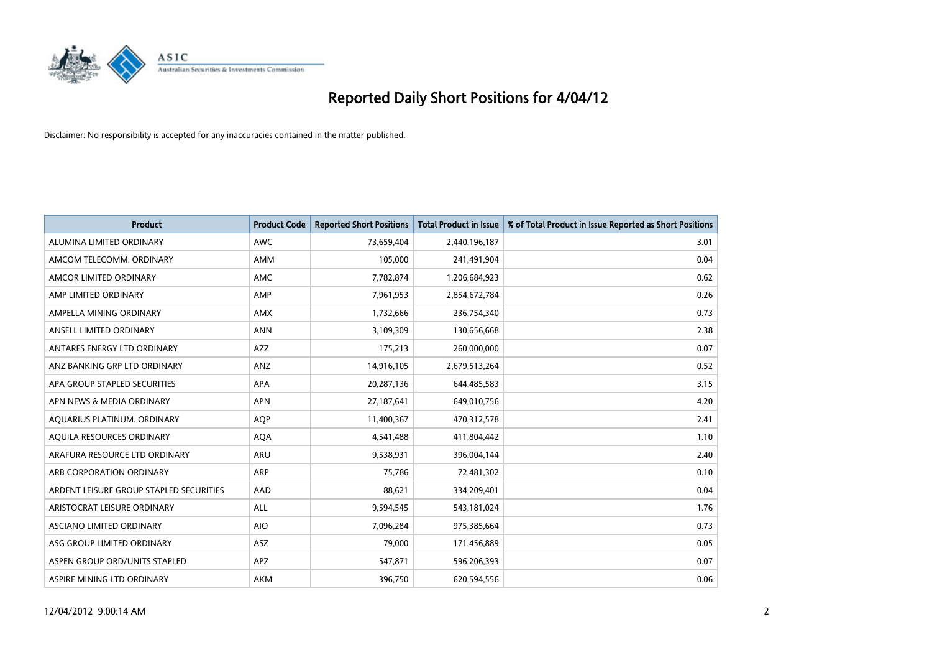

| <b>Product</b>                          | <b>Product Code</b> | <b>Reported Short Positions</b> | <b>Total Product in Issue</b> | % of Total Product in Issue Reported as Short Positions |
|-----------------------------------------|---------------------|---------------------------------|-------------------------------|---------------------------------------------------------|
| ALUMINA LIMITED ORDINARY                | <b>AWC</b>          | 73,659,404                      | 2,440,196,187                 | 3.01                                                    |
| AMCOM TELECOMM, ORDINARY                | AMM                 | 105,000                         | 241,491,904                   | 0.04                                                    |
| AMCOR LIMITED ORDINARY                  | AMC                 | 7,782,874                       | 1,206,684,923                 | 0.62                                                    |
| AMP LIMITED ORDINARY                    | AMP                 | 7,961,953                       | 2,854,672,784                 | 0.26                                                    |
| AMPELLA MINING ORDINARY                 | AMX                 | 1,732,666                       | 236,754,340                   | 0.73                                                    |
| ANSELL LIMITED ORDINARY                 | <b>ANN</b>          | 3,109,309                       | 130,656,668                   | 2.38                                                    |
| ANTARES ENERGY LTD ORDINARY             | AZZ                 | 175,213                         | 260,000,000                   | 0.07                                                    |
| ANZ BANKING GRP LTD ORDINARY            | ANZ                 | 14,916,105                      | 2,679,513,264                 | 0.52                                                    |
| APA GROUP STAPLED SECURITIES            | APA                 | 20,287,136                      | 644,485,583                   | 3.15                                                    |
| APN NEWS & MEDIA ORDINARY               | <b>APN</b>          | 27,187,641                      | 649,010,756                   | 4.20                                                    |
| AQUARIUS PLATINUM. ORDINARY             | <b>AOP</b>          | 11,400,367                      | 470,312,578                   | 2.41                                                    |
| AQUILA RESOURCES ORDINARY               | <b>AQA</b>          | 4,541,488                       | 411,804,442                   | 1.10                                                    |
| ARAFURA RESOURCE LTD ORDINARY           | ARU                 | 9,538,931                       | 396,004,144                   | 2.40                                                    |
| ARB CORPORATION ORDINARY                | ARP                 | 75,786                          | 72,481,302                    | 0.10                                                    |
| ARDENT LEISURE GROUP STAPLED SECURITIES | AAD                 | 88,621                          | 334,209,401                   | 0.04                                                    |
| ARISTOCRAT LEISURE ORDINARY             | ALL                 | 9,594,545                       | 543,181,024                   | 1.76                                                    |
| ASCIANO LIMITED ORDINARY                | <b>AIO</b>          | 7,096,284                       | 975,385,664                   | 0.73                                                    |
| ASG GROUP LIMITED ORDINARY              | ASZ                 | 79,000                          | 171,456,889                   | 0.05                                                    |
| ASPEN GROUP ORD/UNITS STAPLED           | <b>APZ</b>          | 547,871                         | 596,206,393                   | 0.07                                                    |
| ASPIRE MINING LTD ORDINARY              | <b>AKM</b>          | 396,750                         | 620,594,556                   | 0.06                                                    |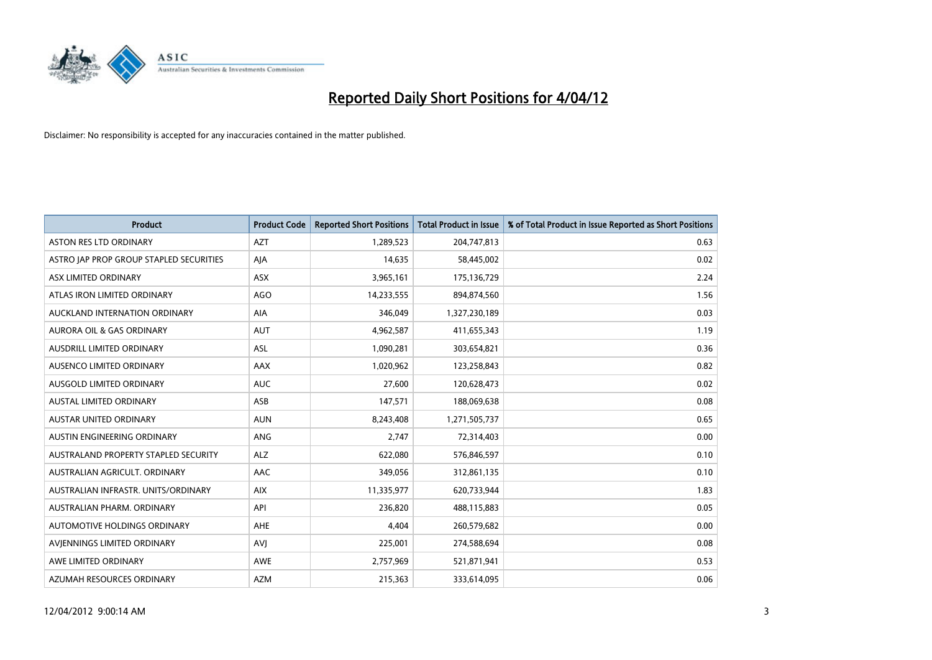

| <b>Product</b>                          | <b>Product Code</b> | <b>Reported Short Positions</b> | <b>Total Product in Issue</b> | % of Total Product in Issue Reported as Short Positions |
|-----------------------------------------|---------------------|---------------------------------|-------------------------------|---------------------------------------------------------|
| <b>ASTON RES LTD ORDINARY</b>           | <b>AZT</b>          | 1,289,523                       | 204,747,813                   | 0.63                                                    |
| ASTRO JAP PROP GROUP STAPLED SECURITIES | AJA                 | 14,635                          | 58,445,002                    | 0.02                                                    |
| ASX LIMITED ORDINARY                    | <b>ASX</b>          | 3,965,161                       | 175,136,729                   | 2.24                                                    |
| ATLAS IRON LIMITED ORDINARY             | <b>AGO</b>          | 14,233,555                      | 894,874,560                   | 1.56                                                    |
| AUCKLAND INTERNATION ORDINARY           | AIA                 | 346,049                         | 1,327,230,189                 | 0.03                                                    |
| <b>AURORA OIL &amp; GAS ORDINARY</b>    | <b>AUT</b>          | 4,962,587                       | 411,655,343                   | 1.19                                                    |
| AUSDRILL LIMITED ORDINARY               | <b>ASL</b>          | 1,090,281                       | 303,654,821                   | 0.36                                                    |
| AUSENCO LIMITED ORDINARY                | AAX                 | 1,020,962                       | 123,258,843                   | 0.82                                                    |
| AUSGOLD LIMITED ORDINARY                | <b>AUC</b>          | 27,600                          | 120,628,473                   | 0.02                                                    |
| <b>AUSTAL LIMITED ORDINARY</b>          | ASB                 | 147,571                         | 188,069,638                   | 0.08                                                    |
| AUSTAR UNITED ORDINARY                  | <b>AUN</b>          | 8,243,408                       | 1,271,505,737                 | 0.65                                                    |
| AUSTIN ENGINEERING ORDINARY             | <b>ANG</b>          | 2,747                           | 72,314,403                    | 0.00                                                    |
| AUSTRALAND PROPERTY STAPLED SECURITY    | <b>ALZ</b>          | 622,080                         | 576,846,597                   | 0.10                                                    |
| AUSTRALIAN AGRICULT, ORDINARY           | AAC                 | 349,056                         | 312,861,135                   | 0.10                                                    |
| AUSTRALIAN INFRASTR, UNITS/ORDINARY     | <b>AIX</b>          | 11,335,977                      | 620,733,944                   | 1.83                                                    |
| AUSTRALIAN PHARM. ORDINARY              | API                 | 236,820                         | 488,115,883                   | 0.05                                                    |
| AUTOMOTIVE HOLDINGS ORDINARY            | AHE                 | 4,404                           | 260,579,682                   | 0.00                                                    |
| AVJENNINGS LIMITED ORDINARY             | <b>AVJ</b>          | 225,001                         | 274,588,694                   | 0.08                                                    |
| AWE LIMITED ORDINARY                    | <b>AWE</b>          | 2,757,969                       | 521,871,941                   | 0.53                                                    |
| AZUMAH RESOURCES ORDINARY               | <b>AZM</b>          | 215,363                         | 333,614,095                   | 0.06                                                    |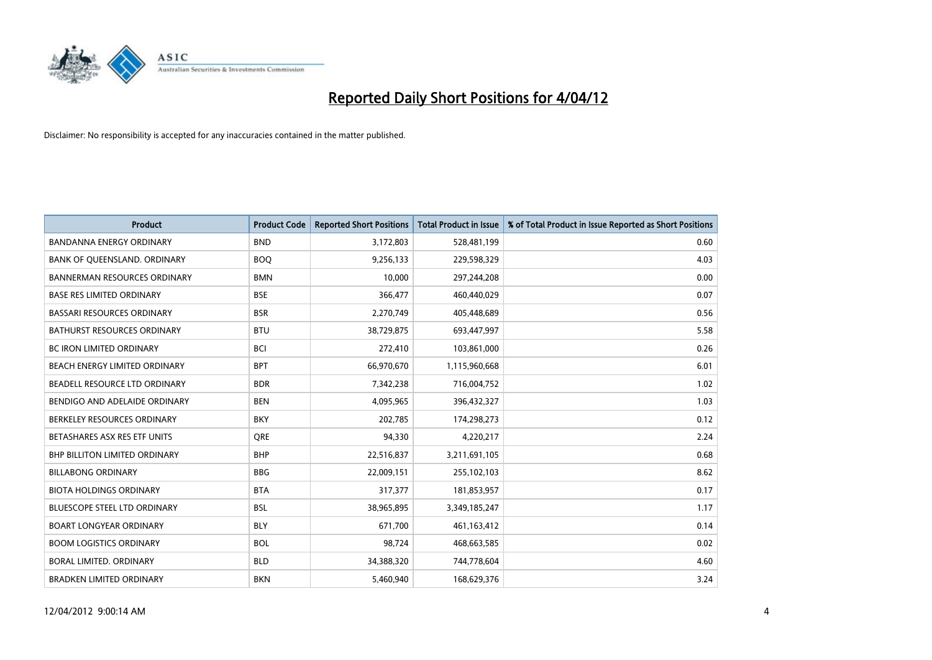

| <b>Product</b>                       | <b>Product Code</b> | <b>Reported Short Positions</b> | <b>Total Product in Issue</b> | % of Total Product in Issue Reported as Short Positions |
|--------------------------------------|---------------------|---------------------------------|-------------------------------|---------------------------------------------------------|
| <b>BANDANNA ENERGY ORDINARY</b>      | <b>BND</b>          | 3,172,803                       | 528,481,199                   | 0.60                                                    |
| BANK OF QUEENSLAND. ORDINARY         | <b>BOO</b>          | 9,256,133                       | 229,598,329                   | 4.03                                                    |
| <b>BANNERMAN RESOURCES ORDINARY</b>  | <b>BMN</b>          | 10,000                          | 297,244,208                   | 0.00                                                    |
| <b>BASE RES LIMITED ORDINARY</b>     | <b>BSE</b>          | 366,477                         | 460,440,029                   | 0.07                                                    |
| <b>BASSARI RESOURCES ORDINARY</b>    | <b>BSR</b>          | 2,270,749                       | 405,448,689                   | 0.56                                                    |
| <b>BATHURST RESOURCES ORDINARY</b>   | <b>BTU</b>          | 38,729,875                      | 693,447,997                   | 5.58                                                    |
| <b>BC IRON LIMITED ORDINARY</b>      | <b>BCI</b>          | 272,410                         | 103,861,000                   | 0.26                                                    |
| BEACH ENERGY LIMITED ORDINARY        | <b>BPT</b>          | 66,970,670                      | 1,115,960,668                 | 6.01                                                    |
| BEADELL RESOURCE LTD ORDINARY        | <b>BDR</b>          | 7,342,238                       | 716,004,752                   | 1.02                                                    |
| BENDIGO AND ADELAIDE ORDINARY        | <b>BEN</b>          | 4,095,965                       | 396,432,327                   | 1.03                                                    |
| BERKELEY RESOURCES ORDINARY          | <b>BKY</b>          | 202,785                         | 174,298,273                   | 0.12                                                    |
| BETASHARES ASX RES ETF UNITS         | <b>ORE</b>          | 94,330                          | 4,220,217                     | 2.24                                                    |
| <b>BHP BILLITON LIMITED ORDINARY</b> | <b>BHP</b>          | 22,516,837                      | 3,211,691,105                 | 0.68                                                    |
| <b>BILLABONG ORDINARY</b>            | <b>BBG</b>          | 22,009,151                      | 255,102,103                   | 8.62                                                    |
| <b>BIOTA HOLDINGS ORDINARY</b>       | <b>BTA</b>          | 317,377                         | 181,853,957                   | 0.17                                                    |
| BLUESCOPE STEEL LTD ORDINARY         | <b>BSL</b>          | 38,965,895                      | 3,349,185,247                 | 1.17                                                    |
| <b>BOART LONGYEAR ORDINARY</b>       | <b>BLY</b>          | 671,700                         | 461,163,412                   | 0.14                                                    |
| <b>BOOM LOGISTICS ORDINARY</b>       | <b>BOL</b>          | 98,724                          | 468,663,585                   | 0.02                                                    |
| <b>BORAL LIMITED, ORDINARY</b>       | <b>BLD</b>          | 34,388,320                      | 744,778,604                   | 4.60                                                    |
| <b>BRADKEN LIMITED ORDINARY</b>      | <b>BKN</b>          | 5,460,940                       | 168,629,376                   | 3.24                                                    |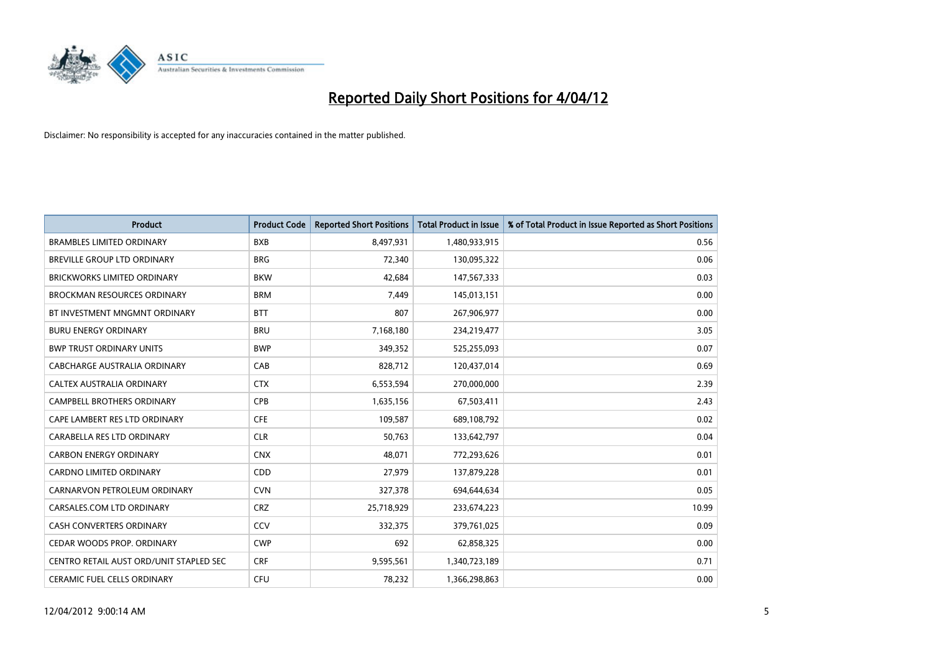

| <b>Product</b>                          | <b>Product Code</b> | <b>Reported Short Positions</b> | <b>Total Product in Issue</b> | % of Total Product in Issue Reported as Short Positions |
|-----------------------------------------|---------------------|---------------------------------|-------------------------------|---------------------------------------------------------|
| <b>BRAMBLES LIMITED ORDINARY</b>        | <b>BXB</b>          | 8,497,931                       | 1,480,933,915                 | 0.56                                                    |
| BREVILLE GROUP LTD ORDINARY             | <b>BRG</b>          | 72,340                          | 130,095,322                   | 0.06                                                    |
| <b>BRICKWORKS LIMITED ORDINARY</b>      | <b>BKW</b>          | 42,684                          | 147,567,333                   | 0.03                                                    |
| <b>BROCKMAN RESOURCES ORDINARY</b>      | <b>BRM</b>          | 7,449                           | 145,013,151                   | 0.00                                                    |
| BT INVESTMENT MNGMNT ORDINARY           | <b>BTT</b>          | 807                             | 267,906,977                   | 0.00                                                    |
| <b>BURU ENERGY ORDINARY</b>             | <b>BRU</b>          | 7,168,180                       | 234,219,477                   | 3.05                                                    |
| <b>BWP TRUST ORDINARY UNITS</b>         | <b>BWP</b>          | 349,352                         | 525,255,093                   | 0.07                                                    |
| <b>CABCHARGE AUSTRALIA ORDINARY</b>     | CAB                 | 828,712                         | 120,437,014                   | 0.69                                                    |
| CALTEX AUSTRALIA ORDINARY               | <b>CTX</b>          | 6,553,594                       | 270,000,000                   | 2.39                                                    |
| <b>CAMPBELL BROTHERS ORDINARY</b>       | CPB                 | 1,635,156                       | 67,503,411                    | 2.43                                                    |
| CAPE LAMBERT RES LTD ORDINARY           | <b>CFE</b>          | 109,587                         | 689,108,792                   | 0.02                                                    |
| CARABELLA RES LTD ORDINARY              | <b>CLR</b>          | 50,763                          | 133,642,797                   | 0.04                                                    |
| <b>CARBON ENERGY ORDINARY</b>           | <b>CNX</b>          | 48,071                          | 772,293,626                   | 0.01                                                    |
| <b>CARDNO LIMITED ORDINARY</b>          | CDD                 | 27,979                          | 137,879,228                   | 0.01                                                    |
| CARNARVON PETROLEUM ORDINARY            | <b>CVN</b>          | 327,378                         | 694,644,634                   | 0.05                                                    |
| CARSALES.COM LTD ORDINARY               | <b>CRZ</b>          | 25,718,929                      | 233,674,223                   | 10.99                                                   |
| CASH CONVERTERS ORDINARY                | CCV                 | 332,375                         | 379,761,025                   | 0.09                                                    |
| CEDAR WOODS PROP. ORDINARY              | <b>CWP</b>          | 692                             | 62,858,325                    | 0.00                                                    |
| CENTRO RETAIL AUST ORD/UNIT STAPLED SEC | <b>CRF</b>          | 9,595,561                       | 1,340,723,189                 | 0.71                                                    |
| CERAMIC FUEL CELLS ORDINARY             | <b>CFU</b>          | 78,232                          | 1,366,298,863                 | 0.00                                                    |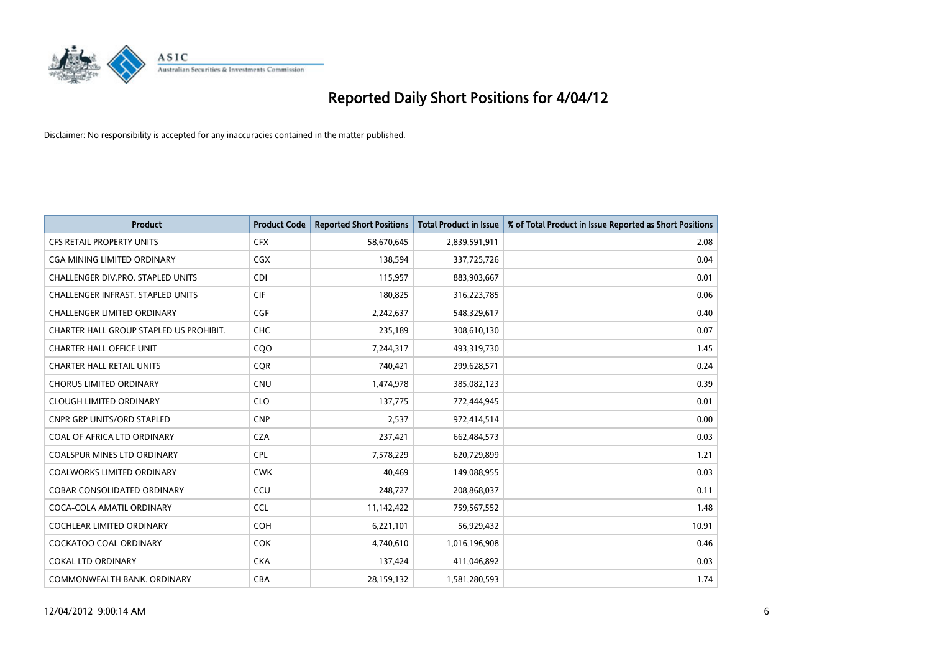

| <b>Product</b>                           | <b>Product Code</b> | <b>Reported Short Positions</b> | <b>Total Product in Issue</b> | % of Total Product in Issue Reported as Short Positions |
|------------------------------------------|---------------------|---------------------------------|-------------------------------|---------------------------------------------------------|
| <b>CFS RETAIL PROPERTY UNITS</b>         | <b>CFX</b>          | 58,670,645                      | 2,839,591,911                 | 2.08                                                    |
| CGA MINING LIMITED ORDINARY              | <b>CGX</b>          | 138,594                         | 337,725,726                   | 0.04                                                    |
| CHALLENGER DIV.PRO. STAPLED UNITS        | <b>CDI</b>          | 115,957                         | 883,903,667                   | 0.01                                                    |
| <b>CHALLENGER INFRAST, STAPLED UNITS</b> | <b>CIF</b>          | 180,825                         | 316,223,785                   | 0.06                                                    |
| <b>CHALLENGER LIMITED ORDINARY</b>       | <b>CGF</b>          | 2,242,637                       | 548,329,617                   | 0.40                                                    |
| CHARTER HALL GROUP STAPLED US PROHIBIT.  | CHC                 | 235,189                         | 308,610,130                   | 0.07                                                    |
| <b>CHARTER HALL OFFICE UNIT</b>          | CQO                 | 7,244,317                       | 493,319,730                   | 1.45                                                    |
| <b>CHARTER HALL RETAIL UNITS</b>         | <b>CQR</b>          | 740,421                         | 299,628,571                   | 0.24                                                    |
| <b>CHORUS LIMITED ORDINARY</b>           | <b>CNU</b>          | 1,474,978                       | 385,082,123                   | 0.39                                                    |
| <b>CLOUGH LIMITED ORDINARY</b>           | <b>CLO</b>          | 137,775                         | 772,444,945                   | 0.01                                                    |
| <b>CNPR GRP UNITS/ORD STAPLED</b>        | <b>CNP</b>          | 2,537                           | 972,414,514                   | 0.00                                                    |
| COAL OF AFRICA LTD ORDINARY              | <b>CZA</b>          | 237,421                         | 662,484,573                   | 0.03                                                    |
| <b>COALSPUR MINES LTD ORDINARY</b>       | <b>CPL</b>          | 7,578,229                       | 620,729,899                   | 1.21                                                    |
| <b>COALWORKS LIMITED ORDINARY</b>        | <b>CWK</b>          | 40.469                          | 149,088,955                   | 0.03                                                    |
| <b>COBAR CONSOLIDATED ORDINARY</b>       | CCU                 | 248,727                         | 208,868,037                   | 0.11                                                    |
| COCA-COLA AMATIL ORDINARY                | <b>CCL</b>          | 11,142,422                      | 759,567,552                   | 1.48                                                    |
| <b>COCHLEAR LIMITED ORDINARY</b>         | <b>COH</b>          | 6,221,101                       | 56,929,432                    | 10.91                                                   |
| COCKATOO COAL ORDINARY                   | <b>COK</b>          | 4,740,610                       | 1,016,196,908                 | 0.46                                                    |
| <b>COKAL LTD ORDINARY</b>                | <b>CKA</b>          | 137,424                         | 411,046,892                   | 0.03                                                    |
| COMMONWEALTH BANK, ORDINARY              | <b>CBA</b>          | 28,159,132                      | 1,581,280,593                 | 1.74                                                    |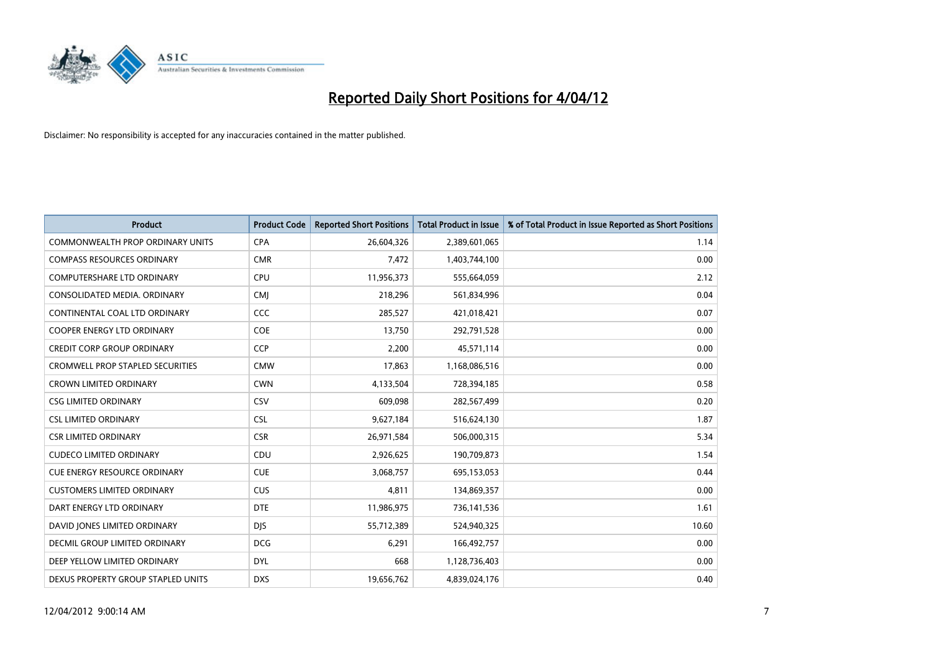

| <b>Product</b>                          | <b>Product Code</b> | <b>Reported Short Positions</b> | <b>Total Product in Issue</b> | % of Total Product in Issue Reported as Short Positions |
|-----------------------------------------|---------------------|---------------------------------|-------------------------------|---------------------------------------------------------|
| <b>COMMONWEALTH PROP ORDINARY UNITS</b> | <b>CPA</b>          | 26,604,326                      | 2,389,601,065                 | 1.14                                                    |
| <b>COMPASS RESOURCES ORDINARY</b>       | <b>CMR</b>          | 7,472                           | 1,403,744,100                 | 0.00                                                    |
| <b>COMPUTERSHARE LTD ORDINARY</b>       | <b>CPU</b>          | 11,956,373                      | 555,664,059                   | 2.12                                                    |
| CONSOLIDATED MEDIA. ORDINARY            | <b>CMJ</b>          | 218,296                         | 561,834,996                   | 0.04                                                    |
| CONTINENTAL COAL LTD ORDINARY           | CCC                 | 285,527                         | 421,018,421                   | 0.07                                                    |
| <b>COOPER ENERGY LTD ORDINARY</b>       | <b>COE</b>          | 13,750                          | 292,791,528                   | 0.00                                                    |
| <b>CREDIT CORP GROUP ORDINARY</b>       | <b>CCP</b>          | 2,200                           | 45,571,114                    | 0.00                                                    |
| <b>CROMWELL PROP STAPLED SECURITIES</b> | <b>CMW</b>          | 17,863                          | 1,168,086,516                 | 0.00                                                    |
| <b>CROWN LIMITED ORDINARY</b>           | <b>CWN</b>          | 4,133,504                       | 728,394,185                   | 0.58                                                    |
| <b>CSG LIMITED ORDINARY</b>             | CSV                 | 609,098                         | 282,567,499                   | 0.20                                                    |
| <b>CSL LIMITED ORDINARY</b>             | <b>CSL</b>          | 9,627,184                       | 516,624,130                   | 1.87                                                    |
| <b>CSR LIMITED ORDINARY</b>             | <b>CSR</b>          | 26,971,584                      | 506,000,315                   | 5.34                                                    |
| <b>CUDECO LIMITED ORDINARY</b>          | CDU                 | 2,926,625                       | 190,709,873                   | 1.54                                                    |
| <b>CUE ENERGY RESOURCE ORDINARY</b>     | <b>CUE</b>          | 3,068,757                       | 695,153,053                   | 0.44                                                    |
| <b>CUSTOMERS LIMITED ORDINARY</b>       | <b>CUS</b>          | 4,811                           | 134,869,357                   | 0.00                                                    |
| DART ENERGY LTD ORDINARY                | <b>DTE</b>          | 11,986,975                      | 736,141,536                   | 1.61                                                    |
| DAVID JONES LIMITED ORDINARY            | <b>DJS</b>          | 55,712,389                      | 524,940,325                   | 10.60                                                   |
| <b>DECMIL GROUP LIMITED ORDINARY</b>    | <b>DCG</b>          | 6,291                           | 166,492,757                   | 0.00                                                    |
| DEEP YELLOW LIMITED ORDINARY            | <b>DYL</b>          | 668                             | 1,128,736,403                 | 0.00                                                    |
| DEXUS PROPERTY GROUP STAPLED UNITS      | <b>DXS</b>          | 19,656,762                      | 4,839,024,176                 | 0.40                                                    |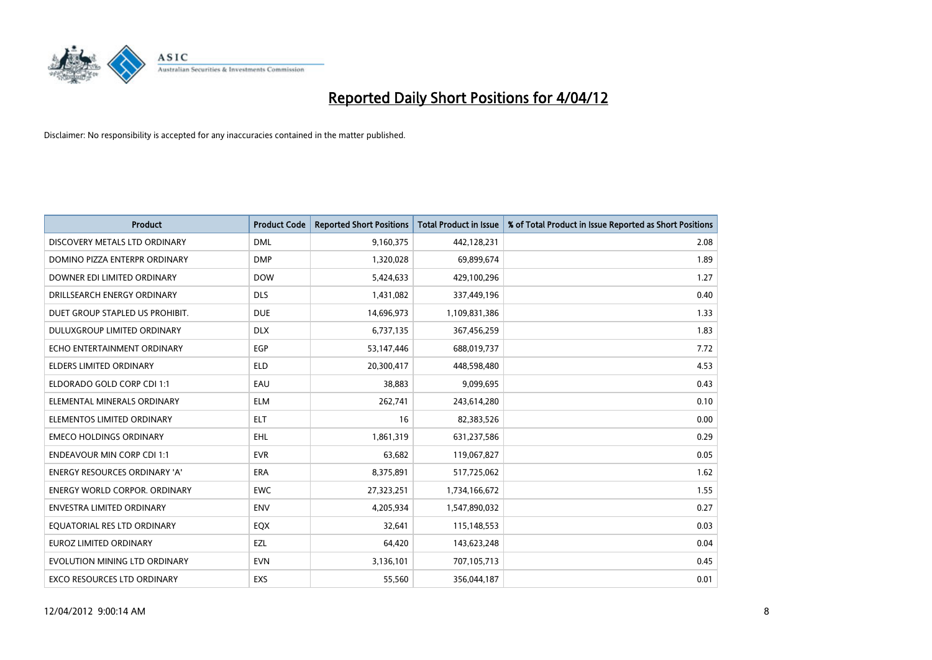

| <b>Product</b>                       | <b>Product Code</b> | <b>Reported Short Positions</b> | <b>Total Product in Issue</b> | % of Total Product in Issue Reported as Short Positions |
|--------------------------------------|---------------------|---------------------------------|-------------------------------|---------------------------------------------------------|
| DISCOVERY METALS LTD ORDINARY        | <b>DML</b>          | 9,160,375                       | 442,128,231                   | 2.08                                                    |
| DOMINO PIZZA ENTERPR ORDINARY        | <b>DMP</b>          | 1,320,028                       | 69,899,674                    | 1.89                                                    |
| DOWNER EDI LIMITED ORDINARY          | <b>DOW</b>          | 5,424,633                       | 429,100,296                   | 1.27                                                    |
| DRILLSEARCH ENERGY ORDINARY          | <b>DLS</b>          | 1,431,082                       | 337,449,196                   | 0.40                                                    |
| DUET GROUP STAPLED US PROHIBIT.      | <b>DUE</b>          | 14,696,973                      | 1,109,831,386                 | 1.33                                                    |
| DULUXGROUP LIMITED ORDINARY          | <b>DLX</b>          | 6,737,135                       | 367,456,259                   | 1.83                                                    |
| ECHO ENTERTAINMENT ORDINARY          | <b>EGP</b>          | 53,147,446                      | 688,019,737                   | 7.72                                                    |
| ELDERS LIMITED ORDINARY              | <b>ELD</b>          | 20,300,417                      | 448,598,480                   | 4.53                                                    |
| ELDORADO GOLD CORP CDI 1:1           | EAU                 | 38.883                          | 9,099,695                     | 0.43                                                    |
| ELEMENTAL MINERALS ORDINARY          | <b>ELM</b>          | 262,741                         | 243,614,280                   | 0.10                                                    |
| ELEMENTOS LIMITED ORDINARY           | ELT                 | 16                              | 82,383,526                    | 0.00                                                    |
| <b>EMECO HOLDINGS ORDINARY</b>       | <b>EHL</b>          | 1,861,319                       | 631,237,586                   | 0.29                                                    |
| ENDEAVOUR MIN CORP CDI 1:1           | <b>EVR</b>          | 63,682                          | 119,067,827                   | 0.05                                                    |
| <b>ENERGY RESOURCES ORDINARY 'A'</b> | ERA                 | 8,375,891                       | 517,725,062                   | 1.62                                                    |
| <b>ENERGY WORLD CORPOR, ORDINARY</b> | <b>EWC</b>          | 27,323,251                      | 1,734,166,672                 | 1.55                                                    |
| ENVESTRA LIMITED ORDINARY            | <b>ENV</b>          | 4,205,934                       | 1,547,890,032                 | 0.27                                                    |
| EQUATORIAL RES LTD ORDINARY          | EQX                 | 32,641                          | 115,148,553                   | 0.03                                                    |
| <b>EUROZ LIMITED ORDINARY</b>        | EZL                 | 64,420                          | 143,623,248                   | 0.04                                                    |
| EVOLUTION MINING LTD ORDINARY        | <b>EVN</b>          | 3,136,101                       | 707,105,713                   | 0.45                                                    |
| EXCO RESOURCES LTD ORDINARY          | EXS                 | 55,560                          | 356,044,187                   | 0.01                                                    |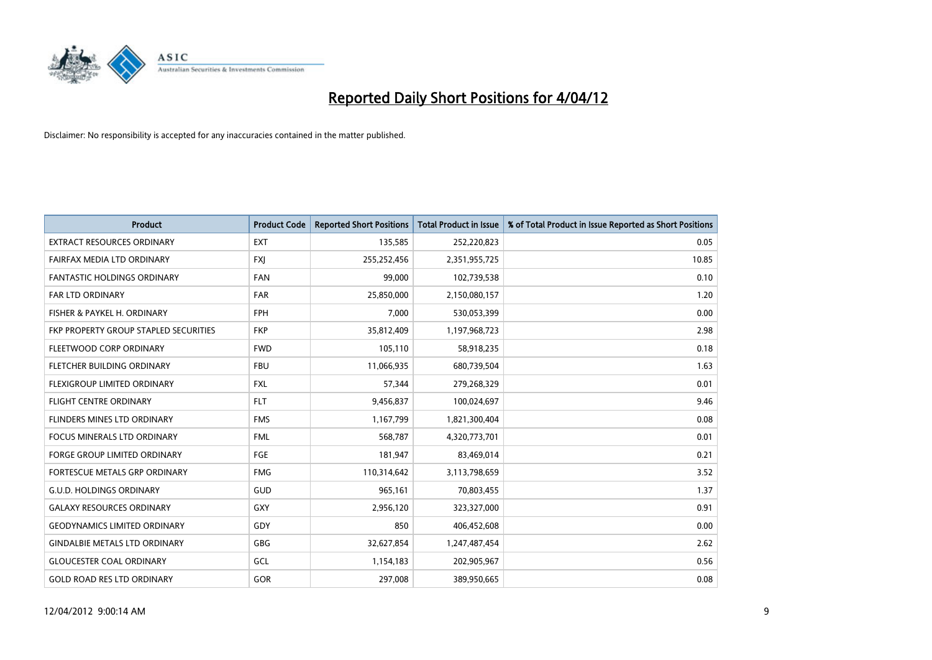

| <b>Product</b>                        | <b>Product Code</b> | <b>Reported Short Positions</b> | <b>Total Product in Issue</b> | % of Total Product in Issue Reported as Short Positions |
|---------------------------------------|---------------------|---------------------------------|-------------------------------|---------------------------------------------------------|
| <b>EXTRACT RESOURCES ORDINARY</b>     | <b>EXT</b>          | 135,585                         | 252,220,823                   | 0.05                                                    |
| FAIRFAX MEDIA LTD ORDINARY            | <b>FXI</b>          | 255,252,456                     | 2,351,955,725                 | 10.85                                                   |
| <b>FANTASTIC HOLDINGS ORDINARY</b>    | <b>FAN</b>          | 99.000                          | 102,739,538                   | 0.10                                                    |
| <b>FAR LTD ORDINARY</b>               | <b>FAR</b>          | 25,850,000                      | 2,150,080,157                 | 1.20                                                    |
| FISHER & PAYKEL H. ORDINARY           | <b>FPH</b>          | 7,000                           | 530,053,399                   | 0.00                                                    |
| FKP PROPERTY GROUP STAPLED SECURITIES | <b>FKP</b>          | 35,812,409                      | 1,197,968,723                 | 2.98                                                    |
| FLEETWOOD CORP ORDINARY               | <b>FWD</b>          | 105,110                         | 58,918,235                    | 0.18                                                    |
| FLETCHER BUILDING ORDINARY            | <b>FBU</b>          | 11,066,935                      | 680,739,504                   | 1.63                                                    |
| FLEXIGROUP LIMITED ORDINARY           | <b>FXL</b>          | 57,344                          | 279,268,329                   | 0.01                                                    |
| <b>FLIGHT CENTRE ORDINARY</b>         | <b>FLT</b>          | 9,456,837                       | 100,024,697                   | 9.46                                                    |
| FLINDERS MINES LTD ORDINARY           | <b>FMS</b>          | 1,167,799                       | 1,821,300,404                 | 0.08                                                    |
| <b>FOCUS MINERALS LTD ORDINARY</b>    | <b>FML</b>          | 568,787                         | 4,320,773,701                 | 0.01                                                    |
| FORGE GROUP LIMITED ORDINARY          | FGE                 | 181,947                         | 83,469,014                    | 0.21                                                    |
| FORTESCUE METALS GRP ORDINARY         | <b>FMG</b>          | 110,314,642                     | 3,113,798,659                 | 3.52                                                    |
| <b>G.U.D. HOLDINGS ORDINARY</b>       | GUD                 | 965,161                         | 70,803,455                    | 1.37                                                    |
| <b>GALAXY RESOURCES ORDINARY</b>      | GXY                 | 2,956,120                       | 323,327,000                   | 0.91                                                    |
| <b>GEODYNAMICS LIMITED ORDINARY</b>   | GDY                 | 850                             | 406,452,608                   | 0.00                                                    |
| <b>GINDALBIE METALS LTD ORDINARY</b>  | GBG                 | 32,627,854                      | 1,247,487,454                 | 2.62                                                    |
| <b>GLOUCESTER COAL ORDINARY</b>       | GCL                 | 1,154,183                       | 202,905,967                   | 0.56                                                    |
| <b>GOLD ROAD RES LTD ORDINARY</b>     | GOR                 | 297,008                         | 389,950,665                   | 0.08                                                    |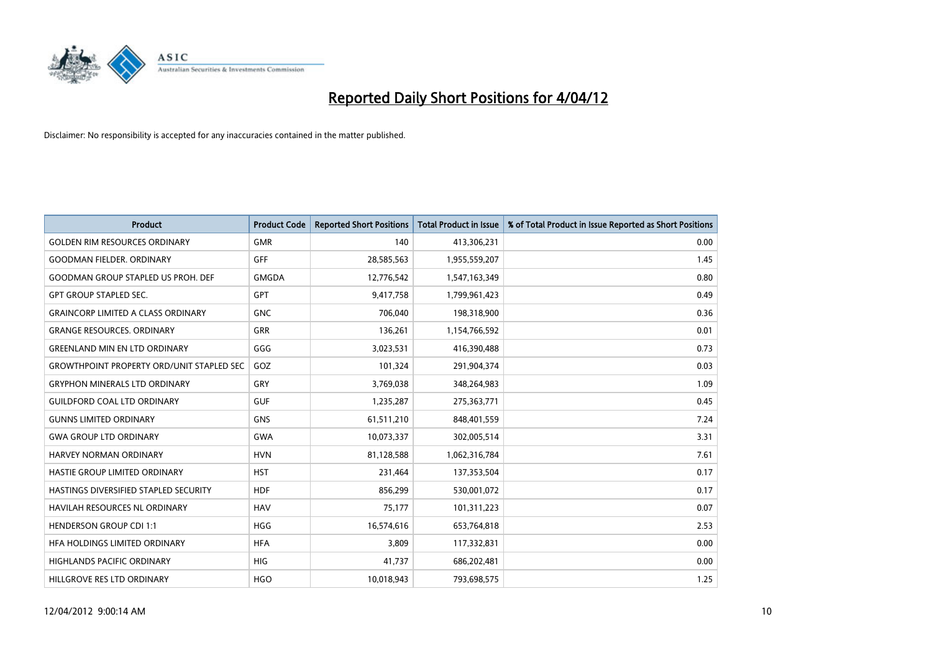

| <b>Product</b>                                   | <b>Product Code</b> | <b>Reported Short Positions</b> | <b>Total Product in Issue</b> | % of Total Product in Issue Reported as Short Positions |
|--------------------------------------------------|---------------------|---------------------------------|-------------------------------|---------------------------------------------------------|
| <b>GOLDEN RIM RESOURCES ORDINARY</b>             | <b>GMR</b>          | 140                             | 413,306,231                   | 0.00                                                    |
| <b>GOODMAN FIELDER, ORDINARY</b>                 | <b>GFF</b>          | 28,585,563                      | 1,955,559,207                 | 1.45                                                    |
| <b>GOODMAN GROUP STAPLED US PROH. DEF</b>        | <b>GMGDA</b>        | 12,776,542                      | 1,547,163,349                 | 0.80                                                    |
| <b>GPT GROUP STAPLED SEC.</b>                    | GPT                 | 9,417,758                       | 1,799,961,423                 | 0.49                                                    |
| <b>GRAINCORP LIMITED A CLASS ORDINARY</b>        | <b>GNC</b>          | 706,040                         | 198,318,900                   | 0.36                                                    |
| <b>GRANGE RESOURCES, ORDINARY</b>                | <b>GRR</b>          | 136,261                         | 1,154,766,592                 | 0.01                                                    |
| <b>GREENLAND MIN EN LTD ORDINARY</b>             | GGG                 | 3,023,531                       | 416,390,488                   | 0.73                                                    |
| <b>GROWTHPOINT PROPERTY ORD/UNIT STAPLED SEC</b> | GOZ                 | 101,324                         | 291,904,374                   | 0.03                                                    |
| <b>GRYPHON MINERALS LTD ORDINARY</b>             | GRY                 | 3,769,038                       | 348,264,983                   | 1.09                                                    |
| <b>GUILDFORD COAL LTD ORDINARY</b>               | <b>GUF</b>          | 1,235,287                       | 275,363,771                   | 0.45                                                    |
| <b>GUNNS LIMITED ORDINARY</b>                    | <b>GNS</b>          | 61,511,210                      | 848,401,559                   | 7.24                                                    |
| <b>GWA GROUP LTD ORDINARY</b>                    | <b>GWA</b>          | 10,073,337                      | 302,005,514                   | 3.31                                                    |
| HARVEY NORMAN ORDINARY                           | <b>HVN</b>          | 81,128,588                      | 1,062,316,784                 | 7.61                                                    |
| HASTIE GROUP LIMITED ORDINARY                    | <b>HST</b>          | 231,464                         | 137,353,504                   | 0.17                                                    |
| HASTINGS DIVERSIFIED STAPLED SECURITY            | <b>HDF</b>          | 856,299                         | 530,001,072                   | 0.17                                                    |
| HAVILAH RESOURCES NL ORDINARY                    | <b>HAV</b>          | 75,177                          | 101,311,223                   | 0.07                                                    |
| <b>HENDERSON GROUP CDI 1:1</b>                   | HGG                 | 16,574,616                      | 653,764,818                   | 2.53                                                    |
| HFA HOLDINGS LIMITED ORDINARY                    | <b>HFA</b>          | 3,809                           | 117,332,831                   | 0.00                                                    |
| <b>HIGHLANDS PACIFIC ORDINARY</b>                | <b>HIG</b>          | 41,737                          | 686,202,481                   | 0.00                                                    |
| HILLGROVE RES LTD ORDINARY                       | <b>HGO</b>          | 10,018,943                      | 793,698,575                   | 1.25                                                    |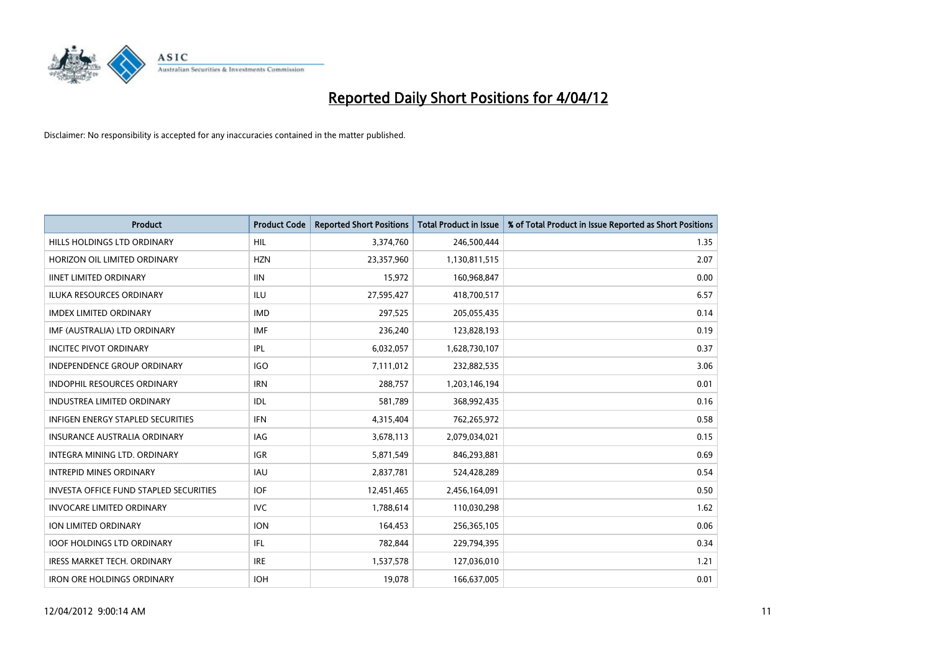

| <b>Product</b>                                | <b>Product Code</b> | <b>Reported Short Positions</b> | <b>Total Product in Issue</b> | % of Total Product in Issue Reported as Short Positions |
|-----------------------------------------------|---------------------|---------------------------------|-------------------------------|---------------------------------------------------------|
| HILLS HOLDINGS LTD ORDINARY                   | HIL                 | 3,374,760                       | 246,500,444                   | 1.35                                                    |
| HORIZON OIL LIMITED ORDINARY                  | <b>HZN</b>          | 23,357,960                      | 1,130,811,515                 | 2.07                                                    |
| <b>IINET LIMITED ORDINARY</b>                 | <b>IIN</b>          | 15,972                          | 160,968,847                   | 0.00                                                    |
| ILUKA RESOURCES ORDINARY                      | ILU                 | 27,595,427                      | 418,700,517                   | 6.57                                                    |
| <b>IMDEX LIMITED ORDINARY</b>                 | <b>IMD</b>          | 297,525                         | 205,055,435                   | 0.14                                                    |
| IMF (AUSTRALIA) LTD ORDINARY                  | <b>IMF</b>          | 236,240                         | 123,828,193                   | 0.19                                                    |
| INCITEC PIVOT ORDINARY                        | IPL                 | 6,032,057                       | 1,628,730,107                 | 0.37                                                    |
| <b>INDEPENDENCE GROUP ORDINARY</b>            | <b>IGO</b>          | 7,111,012                       | 232,882,535                   | 3.06                                                    |
| INDOPHIL RESOURCES ORDINARY                   | <b>IRN</b>          | 288,757                         | 1,203,146,194                 | 0.01                                                    |
| <b>INDUSTREA LIMITED ORDINARY</b>             | <b>IDL</b>          | 581,789                         | 368,992,435                   | 0.16                                                    |
| <b>INFIGEN ENERGY STAPLED SECURITIES</b>      | <b>IFN</b>          | 4,315,404                       | 762,265,972                   | 0.58                                                    |
| <b>INSURANCE AUSTRALIA ORDINARY</b>           | IAG                 | 3,678,113                       | 2,079,034,021                 | 0.15                                                    |
| <b>INTEGRA MINING LTD, ORDINARY</b>           | <b>IGR</b>          | 5,871,549                       | 846,293,881                   | 0.69                                                    |
| <b>INTREPID MINES ORDINARY</b>                | <b>IAU</b>          | 2,837,781                       | 524,428,289                   | 0.54                                                    |
| <b>INVESTA OFFICE FUND STAPLED SECURITIES</b> | <b>IOF</b>          | 12,451,465                      | 2,456,164,091                 | 0.50                                                    |
| <b>INVOCARE LIMITED ORDINARY</b>              | <b>IVC</b>          | 1,788,614                       | 110,030,298                   | 1.62                                                    |
| ION LIMITED ORDINARY                          | <b>ION</b>          | 164,453                         | 256,365,105                   | 0.06                                                    |
| <b>IOOF HOLDINGS LTD ORDINARY</b>             | IFL                 | 782,844                         | 229,794,395                   | 0.34                                                    |
| <b>IRESS MARKET TECH. ORDINARY</b>            | <b>IRE</b>          | 1,537,578                       | 127,036,010                   | 1.21                                                    |
| <b>IRON ORE HOLDINGS ORDINARY</b>             | <b>IOH</b>          | 19,078                          | 166,637,005                   | 0.01                                                    |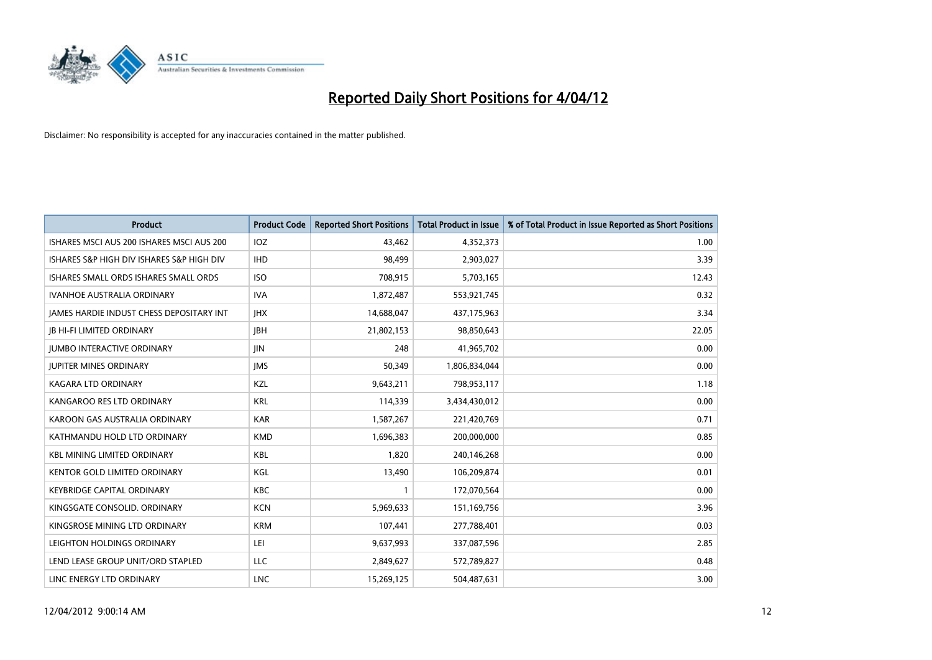

| <b>Product</b>                                  | <b>Product Code</b> | <b>Reported Short Positions</b> | <b>Total Product in Issue</b> | % of Total Product in Issue Reported as Short Positions |
|-------------------------------------------------|---------------------|---------------------------------|-------------------------------|---------------------------------------------------------|
| ISHARES MSCI AUS 200 ISHARES MSCI AUS 200       | <b>IOZ</b>          | 43,462                          | 4,352,373                     | 1.00                                                    |
| ISHARES S&P HIGH DIV ISHARES S&P HIGH DIV       | <b>IHD</b>          | 98,499                          | 2,903,027                     | 3.39                                                    |
| ISHARES SMALL ORDS ISHARES SMALL ORDS           | <b>ISO</b>          | 708,915                         | 5,703,165                     | 12.43                                                   |
| <b>IVANHOE AUSTRALIA ORDINARY</b>               | <b>IVA</b>          | 1,872,487                       | 553,921,745                   | 0.32                                                    |
| <b>JAMES HARDIE INDUST CHESS DEPOSITARY INT</b> | <b>IHX</b>          | 14,688,047                      | 437,175,963                   | 3.34                                                    |
| <b>JB HI-FI LIMITED ORDINARY</b>                | <b>JBH</b>          | 21,802,153                      | 98,850,643                    | 22.05                                                   |
| <b>JUMBO INTERACTIVE ORDINARY</b>               | JIN                 | 248                             | 41,965,702                    | 0.00                                                    |
| <b>JUPITER MINES ORDINARY</b>                   | <b>IMS</b>          | 50,349                          | 1,806,834,044                 | 0.00                                                    |
| <b>KAGARA LTD ORDINARY</b>                      | KZL                 | 9,643,211                       | 798,953,117                   | 1.18                                                    |
| KANGAROO RES LTD ORDINARY                       | <b>KRL</b>          | 114,339                         | 3,434,430,012                 | 0.00                                                    |
| KAROON GAS AUSTRALIA ORDINARY                   | <b>KAR</b>          | 1,587,267                       | 221,420,769                   | 0.71                                                    |
| KATHMANDU HOLD LTD ORDINARY                     | <b>KMD</b>          | 1,696,383                       | 200,000,000                   | 0.85                                                    |
| <b>KBL MINING LIMITED ORDINARY</b>              | <b>KBL</b>          | 1,820                           | 240,146,268                   | 0.00                                                    |
| <b>KENTOR GOLD LIMITED ORDINARY</b>             | KGL                 | 13,490                          | 106,209,874                   | 0.01                                                    |
| <b>KEYBRIDGE CAPITAL ORDINARY</b>               | <b>KBC</b>          | 1                               | 172,070,564                   | 0.00                                                    |
| KINGSGATE CONSOLID. ORDINARY                    | <b>KCN</b>          | 5,969,633                       | 151,169,756                   | 3.96                                                    |
| KINGSROSE MINING LTD ORDINARY                   | <b>KRM</b>          | 107,441                         | 277,788,401                   | 0.03                                                    |
| LEIGHTON HOLDINGS ORDINARY                      | LEI                 | 9,637,993                       | 337,087,596                   | 2.85                                                    |
| LEND LEASE GROUP UNIT/ORD STAPLED               | <b>LLC</b>          | 2,849,627                       | 572,789,827                   | 0.48                                                    |
| LINC ENERGY LTD ORDINARY                        | <b>LNC</b>          | 15,269,125                      | 504,487,631                   | 3.00                                                    |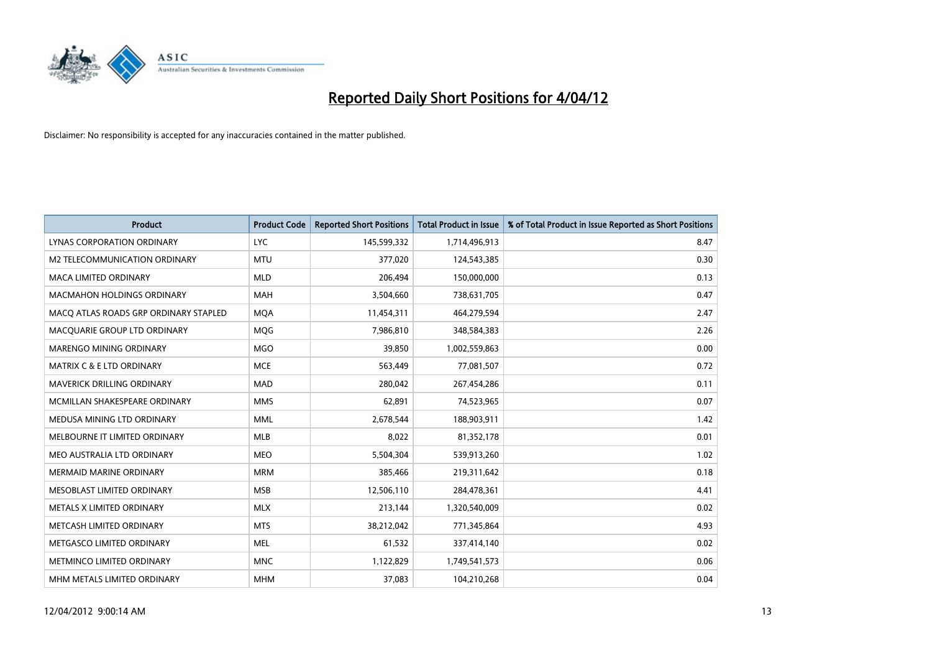

| <b>Product</b>                        | <b>Product Code</b> | <b>Reported Short Positions</b> | <b>Total Product in Issue</b> | % of Total Product in Issue Reported as Short Positions |
|---------------------------------------|---------------------|---------------------------------|-------------------------------|---------------------------------------------------------|
| LYNAS CORPORATION ORDINARY            | <b>LYC</b>          | 145,599,332                     | 1,714,496,913                 | 8.47                                                    |
| <b>M2 TELECOMMUNICATION ORDINARY</b>  | <b>MTU</b>          | 377,020                         | 124,543,385                   | 0.30                                                    |
| <b>MACA LIMITED ORDINARY</b>          | <b>MLD</b>          | 206,494                         | 150,000,000                   | 0.13                                                    |
| <b>MACMAHON HOLDINGS ORDINARY</b>     | <b>MAH</b>          | 3,504,660                       | 738,631,705                   | 0.47                                                    |
| MACO ATLAS ROADS GRP ORDINARY STAPLED | <b>MOA</b>          | 11,454,311                      | 464,279,594                   | 2.47                                                    |
| MACQUARIE GROUP LTD ORDINARY          | MQG                 | 7,986,810                       | 348,584,383                   | 2.26                                                    |
| <b>MARENGO MINING ORDINARY</b>        | <b>MGO</b>          | 39,850                          | 1,002,559,863                 | 0.00                                                    |
| <b>MATRIX C &amp; E LTD ORDINARY</b>  | <b>MCE</b>          | 563,449                         | 77,081,507                    | 0.72                                                    |
| <b>MAVERICK DRILLING ORDINARY</b>     | <b>MAD</b>          | 280,042                         | 267,454,286                   | 0.11                                                    |
| MCMILLAN SHAKESPEARE ORDINARY         | <b>MMS</b>          | 62,891                          | 74,523,965                    | 0.07                                                    |
| MEDUSA MINING LTD ORDINARY            | <b>MML</b>          | 2,678,544                       | 188,903,911                   | 1.42                                                    |
| MELBOURNE IT LIMITED ORDINARY         | <b>MLB</b>          | 8,022                           | 81,352,178                    | 0.01                                                    |
| MEO AUSTRALIA LTD ORDINARY            | <b>MEO</b>          | 5,504,304                       | 539,913,260                   | 1.02                                                    |
| <b>MERMAID MARINE ORDINARY</b>        | <b>MRM</b>          | 385,466                         | 219,311,642                   | 0.18                                                    |
| MESOBLAST LIMITED ORDINARY            | <b>MSB</b>          | 12,506,110                      | 284,478,361                   | 4.41                                                    |
| METALS X LIMITED ORDINARY             | <b>MLX</b>          | 213,144                         | 1,320,540,009                 | 0.02                                                    |
| METCASH LIMITED ORDINARY              | <b>MTS</b>          | 38,212,042                      | 771,345,864                   | 4.93                                                    |
| METGASCO LIMITED ORDINARY             | <b>MEL</b>          | 61,532                          | 337,414,140                   | 0.02                                                    |
| METMINCO LIMITED ORDINARY             | <b>MNC</b>          | 1,122,829                       | 1,749,541,573                 | 0.06                                                    |
| MHM METALS LIMITED ORDINARY           | <b>MHM</b>          | 37,083                          | 104,210,268                   | 0.04                                                    |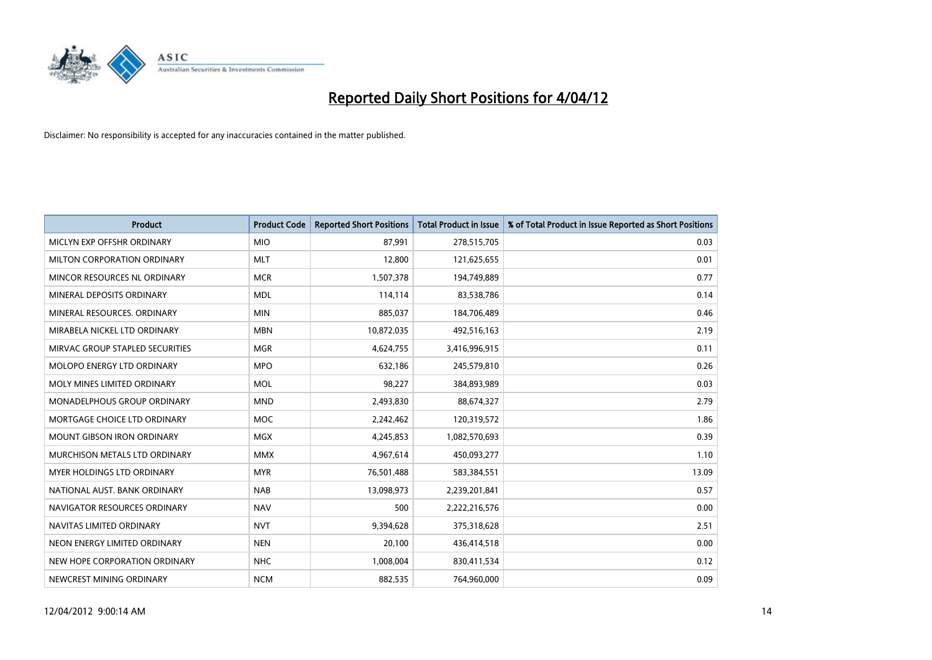

| <b>Product</b>                    | <b>Product Code</b> | <b>Reported Short Positions</b> | <b>Total Product in Issue</b> | % of Total Product in Issue Reported as Short Positions |
|-----------------------------------|---------------------|---------------------------------|-------------------------------|---------------------------------------------------------|
| MICLYN EXP OFFSHR ORDINARY        | <b>MIO</b>          | 87,991                          | 278,515,705                   | 0.03                                                    |
| MILTON CORPORATION ORDINARY       | <b>MLT</b>          | 12,800                          | 121,625,655                   | 0.01                                                    |
| MINCOR RESOURCES NL ORDINARY      | <b>MCR</b>          | 1,507,378                       | 194,749,889                   | 0.77                                                    |
| MINERAL DEPOSITS ORDINARY         | <b>MDL</b>          | 114,114                         | 83,538,786                    | 0.14                                                    |
| MINERAL RESOURCES, ORDINARY       | <b>MIN</b>          | 885,037                         | 184,706,489                   | 0.46                                                    |
| MIRABELA NICKEL LTD ORDINARY      | <b>MBN</b>          | 10,872,035                      | 492,516,163                   | 2.19                                                    |
| MIRVAC GROUP STAPLED SECURITIES   | <b>MGR</b>          | 4,624,755                       | 3,416,996,915                 | 0.11                                                    |
| MOLOPO ENERGY LTD ORDINARY        | <b>MPO</b>          | 632,186                         | 245,579,810                   | 0.26                                                    |
| MOLY MINES LIMITED ORDINARY       | <b>MOL</b>          | 98,227                          | 384,893,989                   | 0.03                                                    |
| MONADELPHOUS GROUP ORDINARY       | <b>MND</b>          | 2,493,830                       | 88,674,327                    | 2.79                                                    |
| MORTGAGE CHOICE LTD ORDINARY      | <b>MOC</b>          | 2,242,462                       | 120,319,572                   | 1.86                                                    |
| <b>MOUNT GIBSON IRON ORDINARY</b> | <b>MGX</b>          | 4,245,853                       | 1,082,570,693                 | 0.39                                                    |
| MURCHISON METALS LTD ORDINARY     | <b>MMX</b>          | 4,967,614                       | 450,093,277                   | 1.10                                                    |
| MYER HOLDINGS LTD ORDINARY        | <b>MYR</b>          | 76,501,488                      | 583,384,551                   | 13.09                                                   |
| NATIONAL AUST, BANK ORDINARY      | <b>NAB</b>          | 13,098,973                      | 2,239,201,841                 | 0.57                                                    |
| NAVIGATOR RESOURCES ORDINARY      | <b>NAV</b>          | 500                             | 2,222,216,576                 | 0.00                                                    |
| NAVITAS LIMITED ORDINARY          | <b>NVT</b>          | 9,394,628                       | 375,318,628                   | 2.51                                                    |
| NEON ENERGY LIMITED ORDINARY      | <b>NEN</b>          | 20,100                          | 436,414,518                   | 0.00                                                    |
| NEW HOPE CORPORATION ORDINARY     | <b>NHC</b>          | 1,008,004                       | 830,411,534                   | 0.12                                                    |
| NEWCREST MINING ORDINARY          | <b>NCM</b>          | 882,535                         | 764,960,000                   | 0.09                                                    |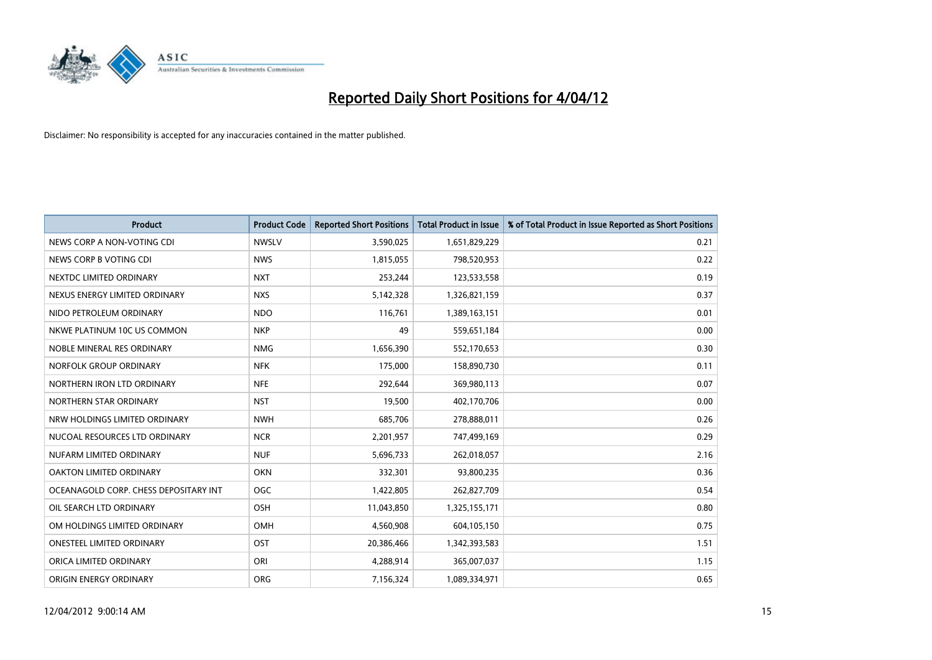

| <b>Product</b>                        | <b>Product Code</b> | <b>Reported Short Positions</b> | <b>Total Product in Issue</b> | % of Total Product in Issue Reported as Short Positions |
|---------------------------------------|---------------------|---------------------------------|-------------------------------|---------------------------------------------------------|
| NEWS CORP A NON-VOTING CDI            | <b>NWSLV</b>        | 3,590,025                       | 1,651,829,229                 | 0.21                                                    |
| NEWS CORP B VOTING CDI                | <b>NWS</b>          | 1,815,055                       | 798,520,953                   | 0.22                                                    |
| NEXTDC LIMITED ORDINARY               | <b>NXT</b>          | 253,244                         | 123,533,558                   | 0.19                                                    |
| NEXUS ENERGY LIMITED ORDINARY         | <b>NXS</b>          | 5,142,328                       | 1,326,821,159                 | 0.37                                                    |
| NIDO PETROLEUM ORDINARY               | <b>NDO</b>          | 116,761                         | 1,389,163,151                 | 0.01                                                    |
| NKWE PLATINUM 10C US COMMON           | <b>NKP</b>          | 49                              | 559,651,184                   | 0.00                                                    |
| NOBLE MINERAL RES ORDINARY            | <b>NMG</b>          | 1,656,390                       | 552,170,653                   | 0.30                                                    |
| NORFOLK GROUP ORDINARY                | <b>NFK</b>          | 175,000                         | 158,890,730                   | 0.11                                                    |
| NORTHERN IRON LTD ORDINARY            | <b>NFE</b>          | 292,644                         | 369,980,113                   | 0.07                                                    |
| NORTHERN STAR ORDINARY                | <b>NST</b>          | 19,500                          | 402,170,706                   | 0.00                                                    |
| NRW HOLDINGS LIMITED ORDINARY         | <b>NWH</b>          | 685,706                         | 278,888,011                   | 0.26                                                    |
| NUCOAL RESOURCES LTD ORDINARY         | <b>NCR</b>          | 2,201,957                       | 747,499,169                   | 0.29                                                    |
| NUFARM LIMITED ORDINARY               | <b>NUF</b>          | 5,696,733                       | 262,018,057                   | 2.16                                                    |
| OAKTON LIMITED ORDINARY               | <b>OKN</b>          | 332,301                         | 93,800,235                    | 0.36                                                    |
| OCEANAGOLD CORP. CHESS DEPOSITARY INT | <b>OGC</b>          | 1,422,805                       | 262,827,709                   | 0.54                                                    |
| OIL SEARCH LTD ORDINARY               | OSH                 | 11,043,850                      | 1,325,155,171                 | 0.80                                                    |
| OM HOLDINGS LIMITED ORDINARY          | OMH                 | 4,560,908                       | 604,105,150                   | 0.75                                                    |
| ONESTEEL LIMITED ORDINARY             | OST                 | 20,386,466                      | 1,342,393,583                 | 1.51                                                    |
| ORICA LIMITED ORDINARY                | ORI                 | 4,288,914                       | 365,007,037                   | 1.15                                                    |
| ORIGIN ENERGY ORDINARY                | <b>ORG</b>          | 7,156,324                       | 1,089,334,971                 | 0.65                                                    |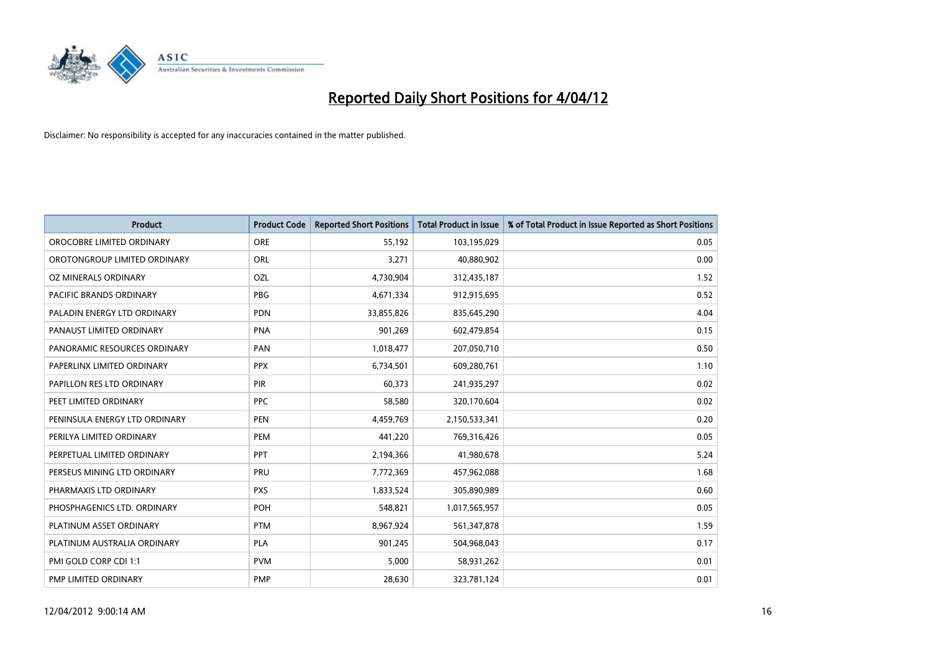

| <b>Product</b>                 | <b>Product Code</b> | <b>Reported Short Positions</b> | <b>Total Product in Issue</b> | % of Total Product in Issue Reported as Short Positions |
|--------------------------------|---------------------|---------------------------------|-------------------------------|---------------------------------------------------------|
| OROCOBRE LIMITED ORDINARY      | <b>ORE</b>          | 55,192                          | 103,195,029                   | 0.05                                                    |
| OROTONGROUP LIMITED ORDINARY   | ORL                 | 3,271                           | 40,880,902                    | 0.00                                                    |
| OZ MINERALS ORDINARY           | OZL                 | 4,730,904                       | 312,435,187                   | 1.52                                                    |
| <b>PACIFIC BRANDS ORDINARY</b> | <b>PBG</b>          | 4,671,334                       | 912,915,695                   | 0.52                                                    |
| PALADIN ENERGY LTD ORDINARY    | <b>PDN</b>          | 33,855,826                      | 835,645,290                   | 4.04                                                    |
| PANAUST LIMITED ORDINARY       | <b>PNA</b>          | 901,269                         | 602,479,854                   | 0.15                                                    |
| PANORAMIC RESOURCES ORDINARY   | PAN                 | 1,018,477                       | 207,050,710                   | 0.50                                                    |
| PAPERLINX LIMITED ORDINARY     | <b>PPX</b>          | 6,734,501                       | 609,280,761                   | 1.10                                                    |
| PAPILLON RES LTD ORDINARY      | PIR                 | 60,373                          | 241,935,297                   | 0.02                                                    |
| PEET LIMITED ORDINARY          | <b>PPC</b>          | 58,580                          | 320,170,604                   | 0.02                                                    |
| PENINSULA ENERGY LTD ORDINARY  | <b>PEN</b>          | 4,459,769                       | 2,150,533,341                 | 0.20                                                    |
| PERILYA LIMITED ORDINARY       | PEM                 | 441,220                         | 769,316,426                   | 0.05                                                    |
| PERPETUAL LIMITED ORDINARY     | <b>PPT</b>          | 2,194,366                       | 41,980,678                    | 5.24                                                    |
| PERSEUS MINING LTD ORDINARY    | PRU                 | 7,772,369                       | 457,962,088                   | 1.68                                                    |
| PHARMAXIS LTD ORDINARY         | <b>PXS</b>          | 1,833,524                       | 305,890,989                   | 0.60                                                    |
| PHOSPHAGENICS LTD. ORDINARY    | POH                 | 548,821                         | 1,017,565,957                 | 0.05                                                    |
| PLATINUM ASSET ORDINARY        | <b>PTM</b>          | 8,967,924                       | 561,347,878                   | 1.59                                                    |
| PLATINUM AUSTRALIA ORDINARY    | PLA                 | 901,245                         | 504,968,043                   | 0.17                                                    |
| PMI GOLD CORP CDI 1:1          | <b>PVM</b>          | 5,000                           | 58,931,262                    | 0.01                                                    |
| PMP LIMITED ORDINARY           | <b>PMP</b>          | 28,630                          | 323,781,124                   | 0.01                                                    |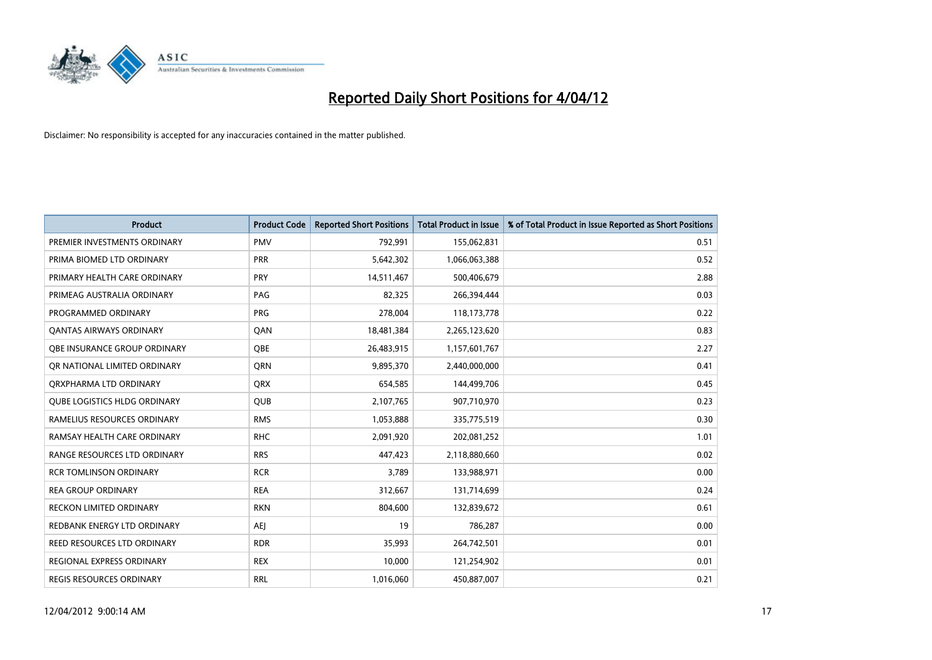

| <b>Product</b>                      | <b>Product Code</b> | <b>Reported Short Positions</b> | <b>Total Product in Issue</b> | % of Total Product in Issue Reported as Short Positions |
|-------------------------------------|---------------------|---------------------------------|-------------------------------|---------------------------------------------------------|
| PREMIER INVESTMENTS ORDINARY        | <b>PMV</b>          | 792,991                         | 155,062,831                   | 0.51                                                    |
| PRIMA BIOMED LTD ORDINARY           | <b>PRR</b>          | 5,642,302                       | 1,066,063,388                 | 0.52                                                    |
| PRIMARY HEALTH CARE ORDINARY        | <b>PRY</b>          | 14,511,467                      | 500,406,679                   | 2.88                                                    |
| PRIMEAG AUSTRALIA ORDINARY          | PAG                 | 82,325                          | 266,394,444                   | 0.03                                                    |
| PROGRAMMED ORDINARY                 | <b>PRG</b>          | 278,004                         | 118, 173, 778                 | 0.22                                                    |
| <b>QANTAS AIRWAYS ORDINARY</b>      | QAN                 | 18,481,384                      | 2,265,123,620                 | 0.83                                                    |
| OBE INSURANCE GROUP ORDINARY        | <b>OBE</b>          | 26,483,915                      | 1,157,601,767                 | 2.27                                                    |
| OR NATIONAL LIMITED ORDINARY        | <b>ORN</b>          | 9,895,370                       | 2,440,000,000                 | 0.41                                                    |
| ORXPHARMA LTD ORDINARY              | <b>QRX</b>          | 654,585                         | 144,499,706                   | 0.45                                                    |
| <b>QUBE LOGISTICS HLDG ORDINARY</b> | <b>QUB</b>          | 2,107,765                       | 907,710,970                   | 0.23                                                    |
| RAMELIUS RESOURCES ORDINARY         | <b>RMS</b>          | 1,053,888                       | 335,775,519                   | 0.30                                                    |
| RAMSAY HEALTH CARE ORDINARY         | <b>RHC</b>          | 2,091,920                       | 202,081,252                   | 1.01                                                    |
| RANGE RESOURCES LTD ORDINARY        | <b>RRS</b>          | 447,423                         | 2,118,880,660                 | 0.02                                                    |
| <b>RCR TOMLINSON ORDINARY</b>       | <b>RCR</b>          | 3,789                           | 133,988,971                   | 0.00                                                    |
| <b>REA GROUP ORDINARY</b>           | <b>REA</b>          | 312,667                         | 131,714,699                   | 0.24                                                    |
| <b>RECKON LIMITED ORDINARY</b>      | <b>RKN</b>          | 804,600                         | 132,839,672                   | 0.61                                                    |
| REDBANK ENERGY LTD ORDINARY         | AEJ                 | 19                              | 786,287                       | 0.00                                                    |
| REED RESOURCES LTD ORDINARY         | <b>RDR</b>          | 35,993                          | 264,742,501                   | 0.01                                                    |
| REGIONAL EXPRESS ORDINARY           | <b>REX</b>          | 10,000                          | 121,254,902                   | 0.01                                                    |
| REGIS RESOURCES ORDINARY            | <b>RRL</b>          | 1,016,060                       | 450,887,007                   | 0.21                                                    |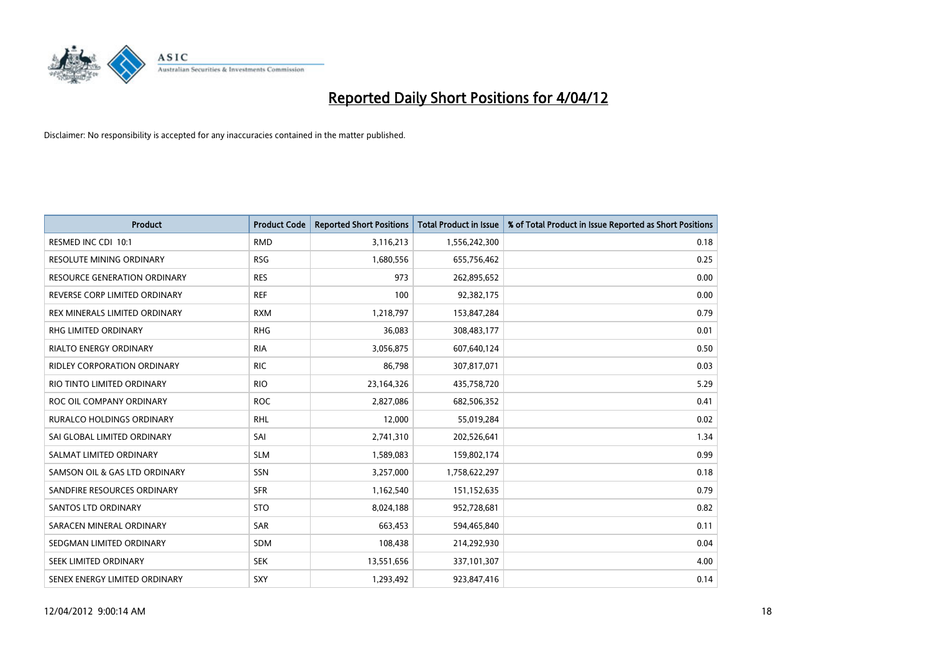

| <b>Product</b>                      | <b>Product Code</b> | <b>Reported Short Positions</b> | <b>Total Product in Issue</b> | % of Total Product in Issue Reported as Short Positions |
|-------------------------------------|---------------------|---------------------------------|-------------------------------|---------------------------------------------------------|
| RESMED INC CDI 10:1                 | <b>RMD</b>          | 3,116,213                       | 1,556,242,300                 | 0.18                                                    |
| RESOLUTE MINING ORDINARY            | <b>RSG</b>          | 1,680,556                       | 655,756,462                   | 0.25                                                    |
| <b>RESOURCE GENERATION ORDINARY</b> | <b>RES</b>          | 973                             | 262,895,652                   | 0.00                                                    |
| REVERSE CORP LIMITED ORDINARY       | <b>REF</b>          | 100                             | 92,382,175                    | 0.00                                                    |
| REX MINERALS LIMITED ORDINARY       | <b>RXM</b>          | 1,218,797                       | 153,847,284                   | 0.79                                                    |
| <b>RHG LIMITED ORDINARY</b>         | <b>RHG</b>          | 36,083                          | 308,483,177                   | 0.01                                                    |
| <b>RIALTO ENERGY ORDINARY</b>       | <b>RIA</b>          | 3,056,875                       | 607,640,124                   | 0.50                                                    |
| <b>RIDLEY CORPORATION ORDINARY</b>  | <b>RIC</b>          | 86,798                          | 307,817,071                   | 0.03                                                    |
| RIO TINTO LIMITED ORDINARY          | <b>RIO</b>          | 23,164,326                      | 435,758,720                   | 5.29                                                    |
| ROC OIL COMPANY ORDINARY            | <b>ROC</b>          | 2,827,086                       | 682,506,352                   | 0.41                                                    |
| <b>RURALCO HOLDINGS ORDINARY</b>    | <b>RHL</b>          | 12,000                          | 55,019,284                    | 0.02                                                    |
| SAI GLOBAL LIMITED ORDINARY         | SAI                 | 2,741,310                       | 202,526,641                   | 1.34                                                    |
| SALMAT LIMITED ORDINARY             | <b>SLM</b>          | 1,589,083                       | 159,802,174                   | 0.99                                                    |
| SAMSON OIL & GAS LTD ORDINARY       | SSN                 | 3,257,000                       | 1,758,622,297                 | 0.18                                                    |
| SANDFIRE RESOURCES ORDINARY         | <b>SFR</b>          | 1,162,540                       | 151,152,635                   | 0.79                                                    |
| <b>SANTOS LTD ORDINARY</b>          | <b>STO</b>          | 8,024,188                       | 952,728,681                   | 0.82                                                    |
| SARACEN MINERAL ORDINARY            | SAR                 | 663,453                         | 594,465,840                   | 0.11                                                    |
| SEDGMAN LIMITED ORDINARY            | <b>SDM</b>          | 108,438                         | 214,292,930                   | 0.04                                                    |
| SEEK LIMITED ORDINARY               | <b>SEK</b>          | 13,551,656                      | 337,101,307                   | 4.00                                                    |
| SENEX ENERGY LIMITED ORDINARY       | SXY                 | 1,293,492                       | 923,847,416                   | 0.14                                                    |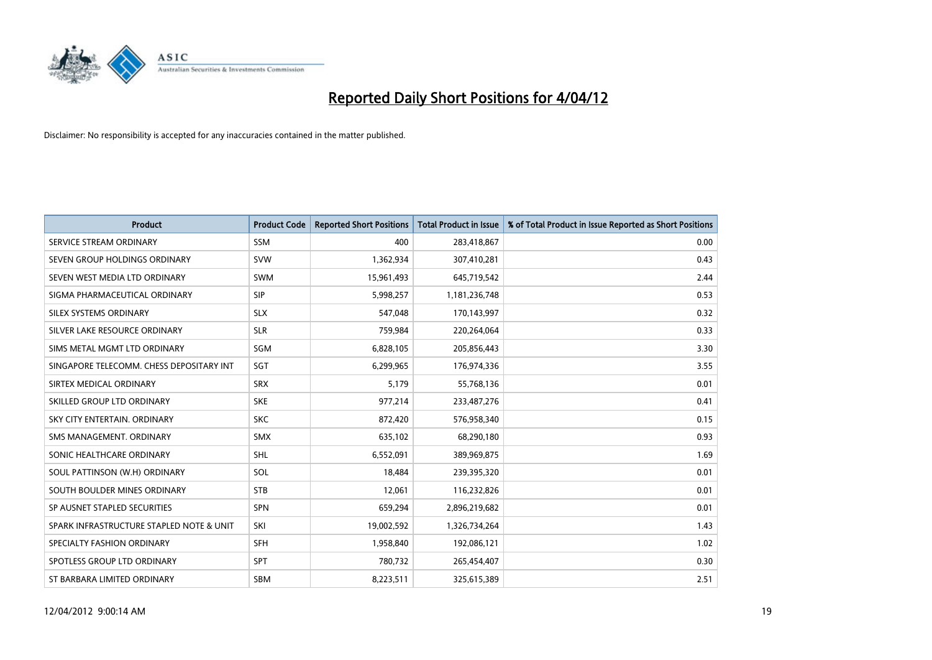

| <b>Product</b>                           | <b>Product Code</b> | <b>Reported Short Positions</b> | <b>Total Product in Issue</b> | % of Total Product in Issue Reported as Short Positions |
|------------------------------------------|---------------------|---------------------------------|-------------------------------|---------------------------------------------------------|
| SERVICE STREAM ORDINARY                  | <b>SSM</b>          | 400                             | 283,418,867                   | 0.00                                                    |
| SEVEN GROUP HOLDINGS ORDINARY            | <b>SVW</b>          | 1,362,934                       | 307,410,281                   | 0.43                                                    |
| SEVEN WEST MEDIA LTD ORDINARY            | <b>SWM</b>          | 15,961,493                      | 645,719,542                   | 2.44                                                    |
| SIGMA PHARMACEUTICAL ORDINARY            | <b>SIP</b>          | 5,998,257                       | 1,181,236,748                 | 0.53                                                    |
| SILEX SYSTEMS ORDINARY                   | <b>SLX</b>          | 547,048                         | 170,143,997                   | 0.32                                                    |
| SILVER LAKE RESOURCE ORDINARY            | <b>SLR</b>          | 759,984                         | 220,264,064                   | 0.33                                                    |
| SIMS METAL MGMT LTD ORDINARY             | <b>SGM</b>          | 6,828,105                       | 205,856,443                   | 3.30                                                    |
| SINGAPORE TELECOMM. CHESS DEPOSITARY INT | SGT                 | 6,299,965                       | 176,974,336                   | 3.55                                                    |
| SIRTEX MEDICAL ORDINARY                  | <b>SRX</b>          | 5,179                           | 55,768,136                    | 0.01                                                    |
| SKILLED GROUP LTD ORDINARY               | <b>SKE</b>          | 977,214                         | 233,487,276                   | 0.41                                                    |
| SKY CITY ENTERTAIN. ORDINARY             | <b>SKC</b>          | 872,420                         | 576,958,340                   | 0.15                                                    |
| SMS MANAGEMENT, ORDINARY                 | <b>SMX</b>          | 635,102                         | 68,290,180                    | 0.93                                                    |
| SONIC HEALTHCARE ORDINARY                | SHL                 | 6,552,091                       | 389,969,875                   | 1.69                                                    |
| SOUL PATTINSON (W.H) ORDINARY            | SOL                 | 18,484                          | 239,395,320                   | 0.01                                                    |
| SOUTH BOULDER MINES ORDINARY             | <b>STB</b>          | 12,061                          | 116,232,826                   | 0.01                                                    |
| SP AUSNET STAPLED SECURITIES             | SPN                 | 659,294                         | 2,896,219,682                 | 0.01                                                    |
| SPARK INFRASTRUCTURE STAPLED NOTE & UNIT | SKI                 | 19,002,592                      | 1,326,734,264                 | 1.43                                                    |
| SPECIALTY FASHION ORDINARY               | <b>SFH</b>          | 1,958,840                       | 192,086,121                   | 1.02                                                    |
| SPOTLESS GROUP LTD ORDINARY              | <b>SPT</b>          | 780,732                         | 265,454,407                   | 0.30                                                    |
| ST BARBARA LIMITED ORDINARY              | <b>SBM</b>          | 8,223,511                       | 325,615,389                   | 2.51                                                    |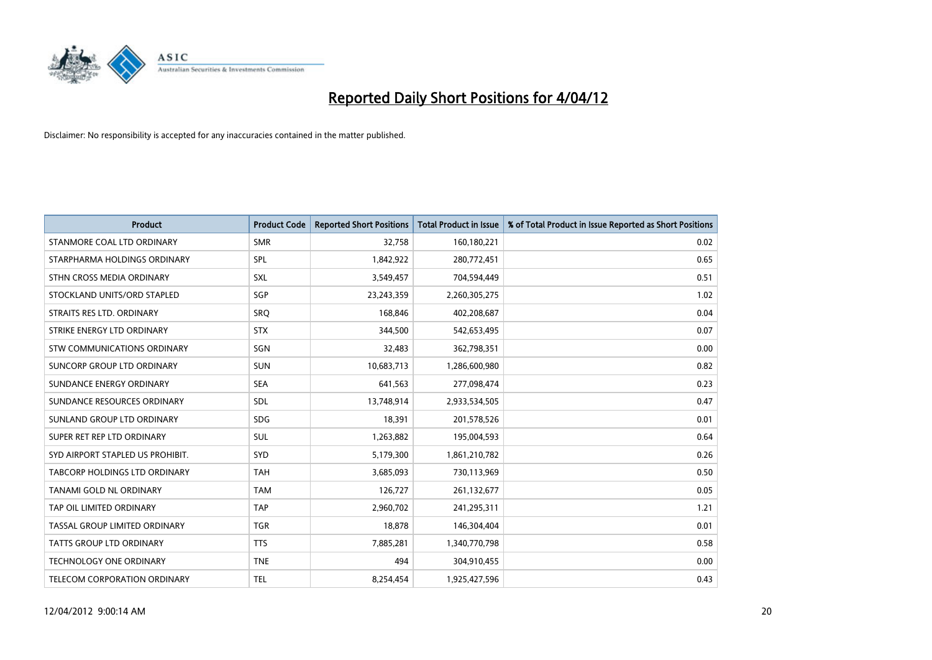

| <b>Product</b>                   | <b>Product Code</b> | <b>Reported Short Positions</b> | <b>Total Product in Issue</b> | % of Total Product in Issue Reported as Short Positions |
|----------------------------------|---------------------|---------------------------------|-------------------------------|---------------------------------------------------------|
| STANMORE COAL LTD ORDINARY       | <b>SMR</b>          | 32,758                          | 160,180,221                   | 0.02                                                    |
| STARPHARMA HOLDINGS ORDINARY     | <b>SPL</b>          | 1,842,922                       | 280,772,451                   | 0.65                                                    |
| STHN CROSS MEDIA ORDINARY        | <b>SXL</b>          | 3,549,457                       | 704,594,449                   | 0.51                                                    |
| STOCKLAND UNITS/ORD STAPLED      | SGP                 | 23,243,359                      | 2,260,305,275                 | 1.02                                                    |
| STRAITS RES LTD. ORDINARY        | SRO                 | 168,846                         | 402,208,687                   | 0.04                                                    |
| STRIKE ENERGY LTD ORDINARY       | <b>STX</b>          | 344,500                         | 542,653,495                   | 0.07                                                    |
| STW COMMUNICATIONS ORDINARY      | <b>SGN</b>          | 32,483                          | 362,798,351                   | 0.00                                                    |
| SUNCORP GROUP LTD ORDINARY       | <b>SUN</b>          | 10,683,713                      | 1,286,600,980                 | 0.82                                                    |
| SUNDANCE ENERGY ORDINARY         | <b>SEA</b>          | 641,563                         | 277,098,474                   | 0.23                                                    |
| SUNDANCE RESOURCES ORDINARY      | <b>SDL</b>          | 13,748,914                      | 2,933,534,505                 | 0.47                                                    |
| SUNLAND GROUP LTD ORDINARY       | <b>SDG</b>          | 18,391                          | 201,578,526                   | 0.01                                                    |
| SUPER RET REP LTD ORDINARY       | <b>SUL</b>          | 1,263,882                       | 195,004,593                   | 0.64                                                    |
| SYD AIRPORT STAPLED US PROHIBIT. | <b>SYD</b>          | 5,179,300                       | 1,861,210,782                 | 0.26                                                    |
| TABCORP HOLDINGS LTD ORDINARY    | <b>TAH</b>          | 3,685,093                       | 730,113,969                   | 0.50                                                    |
| <b>TANAMI GOLD NL ORDINARY</b>   | <b>TAM</b>          | 126,727                         | 261,132,677                   | 0.05                                                    |
| TAP OIL LIMITED ORDINARY         | <b>TAP</b>          | 2,960,702                       | 241,295,311                   | 1.21                                                    |
| TASSAL GROUP LIMITED ORDINARY    | <b>TGR</b>          | 18,878                          | 146,304,404                   | 0.01                                                    |
| <b>TATTS GROUP LTD ORDINARY</b>  | <b>TTS</b>          | 7,885,281                       | 1,340,770,798                 | 0.58                                                    |
| <b>TECHNOLOGY ONE ORDINARY</b>   | <b>TNE</b>          | 494                             | 304,910,455                   | 0.00                                                    |
| TELECOM CORPORATION ORDINARY     | <b>TEL</b>          | 8,254,454                       | 1,925,427,596                 | 0.43                                                    |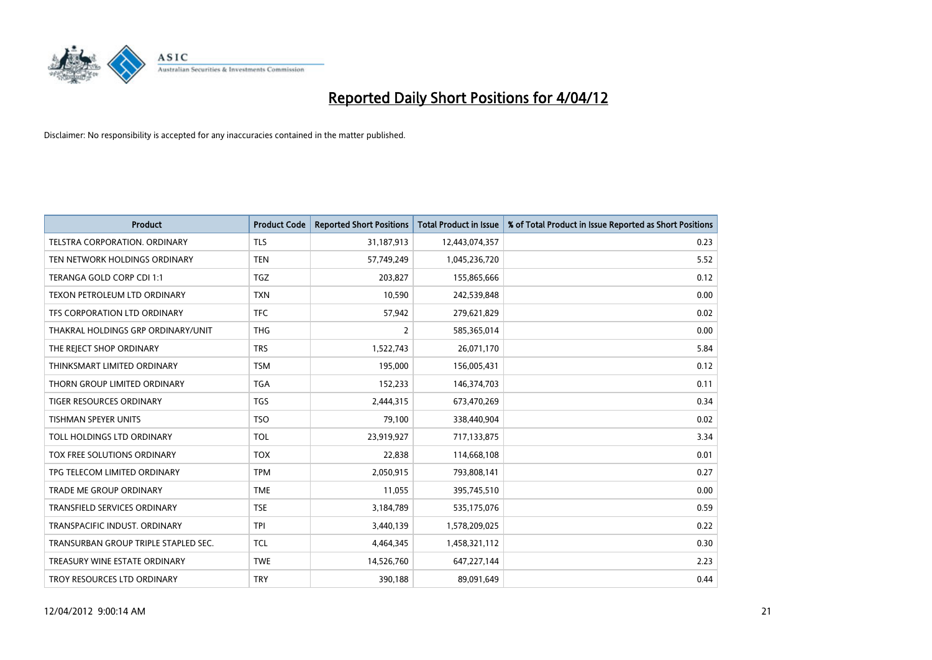

| <b>Product</b>                       | <b>Product Code</b> | <b>Reported Short Positions</b> | <b>Total Product in Issue</b> | % of Total Product in Issue Reported as Short Positions |
|--------------------------------------|---------------------|---------------------------------|-------------------------------|---------------------------------------------------------|
| <b>TELSTRA CORPORATION, ORDINARY</b> | <b>TLS</b>          | 31,187,913                      | 12,443,074,357                | 0.23                                                    |
| TEN NETWORK HOLDINGS ORDINARY        | <b>TEN</b>          | 57,749,249                      | 1,045,236,720                 | 5.52                                                    |
| TERANGA GOLD CORP CDI 1:1            | <b>TGZ</b>          | 203,827                         | 155,865,666                   | 0.12                                                    |
| TEXON PETROLEUM LTD ORDINARY         | <b>TXN</b>          | 10,590                          | 242,539,848                   | 0.00                                                    |
| TFS CORPORATION LTD ORDINARY         | <b>TFC</b>          | 57,942                          | 279,621,829                   | 0.02                                                    |
| THAKRAL HOLDINGS GRP ORDINARY/UNIT   | <b>THG</b>          | $\overline{2}$                  | 585,365,014                   | 0.00                                                    |
| THE REJECT SHOP ORDINARY             | <b>TRS</b>          | 1,522,743                       | 26,071,170                    | 5.84                                                    |
| THINKSMART LIMITED ORDINARY          | <b>TSM</b>          | 195,000                         | 156,005,431                   | 0.12                                                    |
| THORN GROUP LIMITED ORDINARY         | <b>TGA</b>          | 152,233                         | 146,374,703                   | 0.11                                                    |
| <b>TIGER RESOURCES ORDINARY</b>      | <b>TGS</b>          | 2,444,315                       | 673,470,269                   | 0.34                                                    |
| TISHMAN SPEYER UNITS                 | <b>TSO</b>          | 79,100                          | 338,440,904                   | 0.02                                                    |
| TOLL HOLDINGS LTD ORDINARY           | <b>TOL</b>          | 23,919,927                      | 717,133,875                   | 3.34                                                    |
| TOX FREE SOLUTIONS ORDINARY          | <b>TOX</b>          | 22,838                          | 114,668,108                   | 0.01                                                    |
| TPG TELECOM LIMITED ORDINARY         | <b>TPM</b>          | 2,050,915                       | 793,808,141                   | 0.27                                                    |
| TRADE ME GROUP ORDINARY              | <b>TME</b>          | 11,055                          | 395,745,510                   | 0.00                                                    |
| <b>TRANSFIELD SERVICES ORDINARY</b>  | <b>TSE</b>          | 3,184,789                       | 535,175,076                   | 0.59                                                    |
| TRANSPACIFIC INDUST. ORDINARY        | <b>TPI</b>          | 3,440,139                       | 1,578,209,025                 | 0.22                                                    |
| TRANSURBAN GROUP TRIPLE STAPLED SEC. | <b>TCL</b>          | 4,464,345                       | 1,458,321,112                 | 0.30                                                    |
| TREASURY WINE ESTATE ORDINARY        | <b>TWE</b>          | 14,526,760                      | 647,227,144                   | 2.23                                                    |
| TROY RESOURCES LTD ORDINARY          | <b>TRY</b>          | 390,188                         | 89,091,649                    | 0.44                                                    |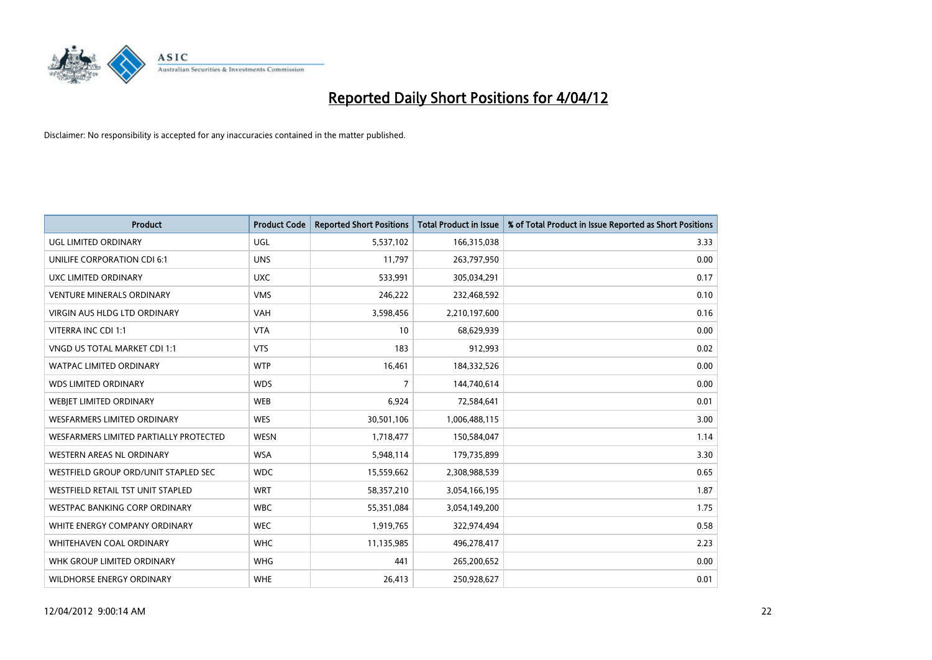

| <b>Product</b>                         | <b>Product Code</b> | <b>Reported Short Positions</b> | <b>Total Product in Issue</b> | % of Total Product in Issue Reported as Short Positions |
|----------------------------------------|---------------------|---------------------------------|-------------------------------|---------------------------------------------------------|
| <b>UGL LIMITED ORDINARY</b>            | UGL                 | 5,537,102                       | 166,315,038                   | 3.33                                                    |
| UNILIFE CORPORATION CDI 6:1            | <b>UNS</b>          | 11,797                          | 263,797,950                   | 0.00                                                    |
| UXC LIMITED ORDINARY                   | <b>UXC</b>          | 533,991                         | 305,034,291                   | 0.17                                                    |
| <b>VENTURE MINERALS ORDINARY</b>       | <b>VMS</b>          | 246,222                         | 232,468,592                   | 0.10                                                    |
| <b>VIRGIN AUS HLDG LTD ORDINARY</b>    | <b>VAH</b>          | 3,598,456                       | 2,210,197,600                 | 0.16                                                    |
| VITERRA INC CDI 1:1                    | <b>VTA</b>          | 10                              | 68,629,939                    | 0.00                                                    |
| VNGD US TOTAL MARKET CDI 1:1           | <b>VTS</b>          | 183                             | 912,993                       | 0.02                                                    |
| WATPAC LIMITED ORDINARY                | <b>WTP</b>          | 16,461                          | 184,332,526                   | 0.00                                                    |
| <b>WDS LIMITED ORDINARY</b>            | <b>WDS</b>          | 7                               | 144,740,614                   | 0.00                                                    |
| WEBJET LIMITED ORDINARY                | <b>WEB</b>          | 6,924                           | 72,584,641                    | 0.01                                                    |
| <b>WESFARMERS LIMITED ORDINARY</b>     | <b>WES</b>          | 30,501,106                      | 1,006,488,115                 | 3.00                                                    |
| WESFARMERS LIMITED PARTIALLY PROTECTED | <b>WESN</b>         | 1,718,477                       | 150,584,047                   | 1.14                                                    |
| WESTERN AREAS NL ORDINARY              | <b>WSA</b>          | 5,948,114                       | 179,735,899                   | 3.30                                                    |
| WESTFIELD GROUP ORD/UNIT STAPLED SEC   | <b>WDC</b>          | 15,559,662                      | 2,308,988,539                 | 0.65                                                    |
| WESTFIELD RETAIL TST UNIT STAPLED      | <b>WRT</b>          | 58,357,210                      | 3,054,166,195                 | 1.87                                                    |
| <b>WESTPAC BANKING CORP ORDINARY</b>   | <b>WBC</b>          | 55,351,084                      | 3,054,149,200                 | 1.75                                                    |
| WHITE ENERGY COMPANY ORDINARY          | <b>WEC</b>          | 1,919,765                       | 322,974,494                   | 0.58                                                    |
| WHITEHAVEN COAL ORDINARY               | <b>WHC</b>          | 11,135,985                      | 496,278,417                   | 2.23                                                    |
| WHK GROUP LIMITED ORDINARY             | <b>WHG</b>          | 441                             | 265,200,652                   | 0.00                                                    |
| <b>WILDHORSE ENERGY ORDINARY</b>       | <b>WHE</b>          | 26,413                          | 250,928,627                   | 0.01                                                    |